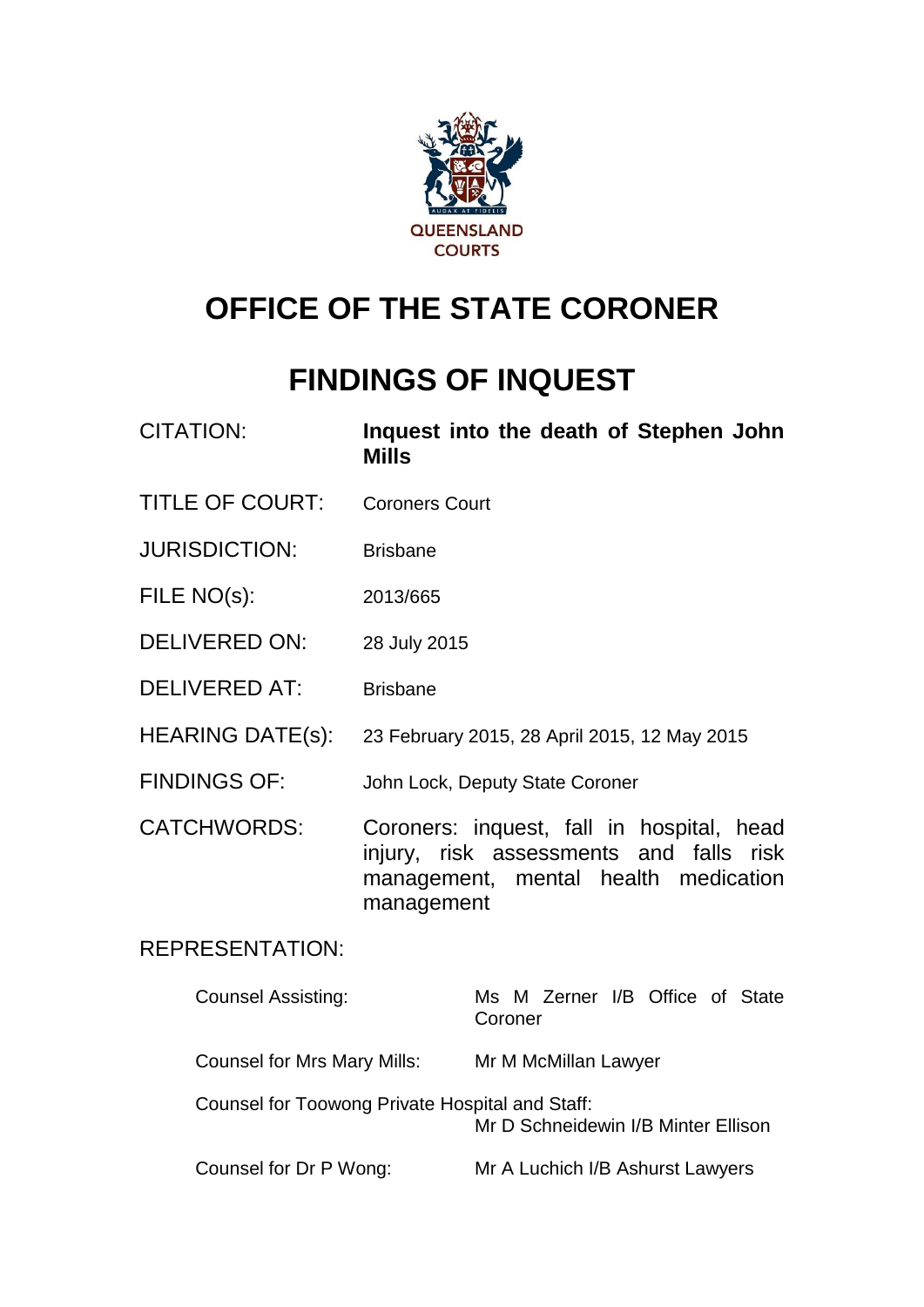

# **OFFICE OF THE STATE CORONER**

# **FINDINGS OF INQUEST**

| <b>CITATION:</b>          | Inquest into the death of Stephen John<br><b>Mills</b>                                                                                     |  |  |  |  |
|---------------------------|--------------------------------------------------------------------------------------------------------------------------------------------|--|--|--|--|
| <b>TITLE OF COURT:</b>    | <b>Coroners Court</b>                                                                                                                      |  |  |  |  |
| <b>JURISDICTION:</b>      | <b>Brisbane</b>                                                                                                                            |  |  |  |  |
| FILE NO(s):               | 2013/665                                                                                                                                   |  |  |  |  |
| <b>DELIVERED ON:</b>      | 28 July 2015                                                                                                                               |  |  |  |  |
| <b>DELIVERED AT:</b>      | <b>Brisbane</b>                                                                                                                            |  |  |  |  |
| <b>HEARING DATE(s):</b>   | 23 February 2015, 28 April 2015, 12 May 2015                                                                                               |  |  |  |  |
| <b>FINDINGS OF:</b>       | John Lock, Deputy State Coroner                                                                                                            |  |  |  |  |
| <b>CATCHWORDS:</b>        | Coroners: inquest, fall in hospital, head<br>injury, risk assessments and falls risk<br>management, mental health medication<br>management |  |  |  |  |
| <b>REPRESENTATION:</b>    |                                                                                                                                            |  |  |  |  |
| <b>Counsel Assisting:</b> | Ms M Zerner I/B Office of State<br>Coroner                                                                                                 |  |  |  |  |

Counsel for Mrs Mary Mills: Mr M McMillan Lawyer Counsel for Toowong Private Hospital and Staff: Mr D Schneidewin I/B Minter Ellison Counsel for Dr P Wong: Mr A Luchich I/B Ashurst Lawyers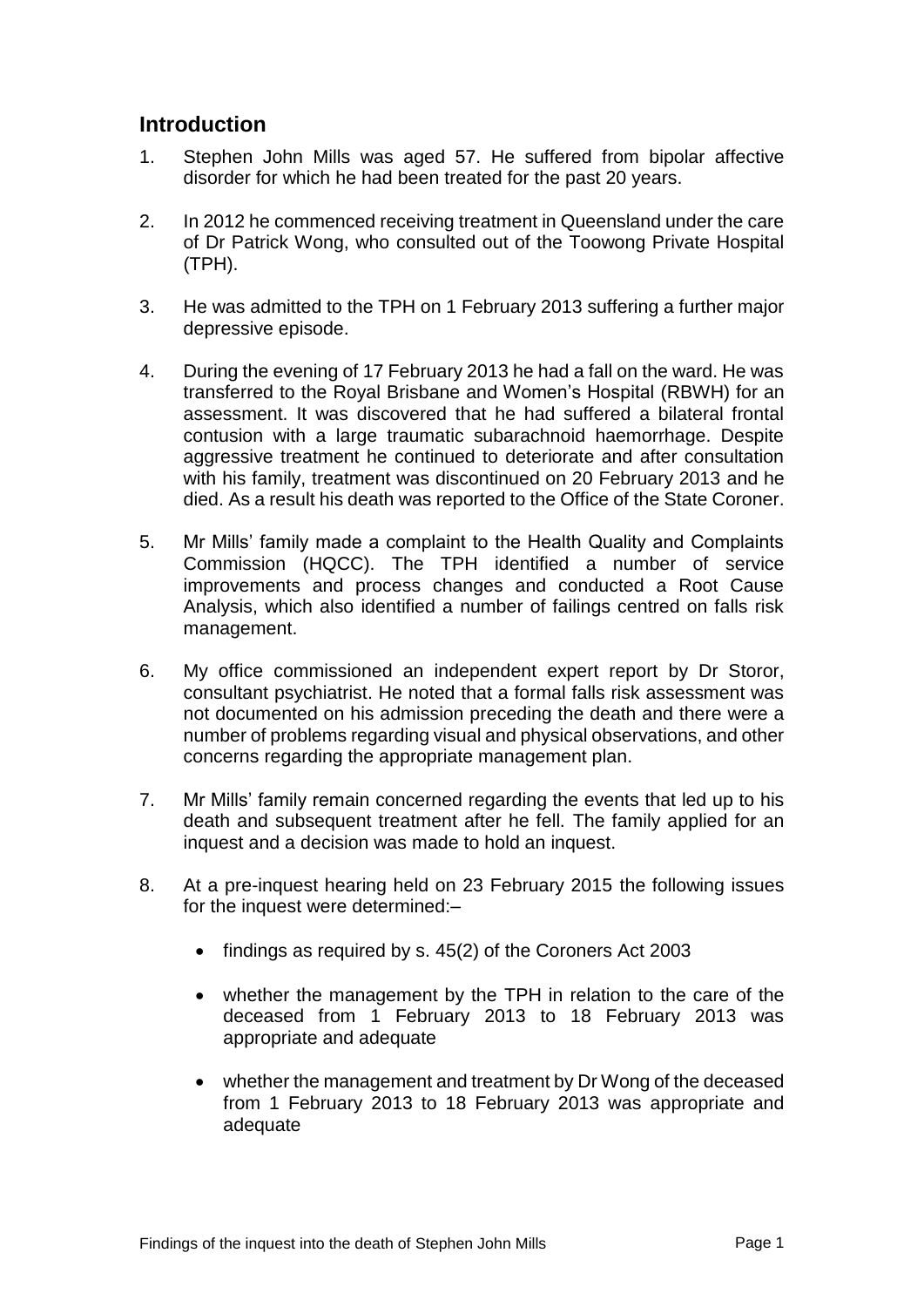# **Introduction**

- 1. Stephen John Mills was aged 57. He suffered from bipolar affective disorder for which he had been treated for the past 20 years.
- 2. In 2012 he commenced receiving treatment in Queensland under the care of Dr Patrick Wong, who consulted out of the Toowong Private Hospital (TPH).
- 3. He was admitted to the TPH on 1 February 2013 suffering a further major depressive episode.
- 4. During the evening of 17 February 2013 he had a fall on the ward. He was transferred to the Royal Brisbane and Women's Hospital (RBWH) for an assessment. It was discovered that he had suffered a bilateral frontal contusion with a large traumatic subarachnoid haemorrhage. Despite aggressive treatment he continued to deteriorate and after consultation with his family, treatment was discontinued on 20 February 2013 and he died. As a result his death was reported to the Office of the State Coroner.
- 5. Mr Mills' family made a complaint to the Health Quality and Complaints Commission (HQCC). The TPH identified a number of service improvements and process changes and conducted a Root Cause Analysis, which also identified a number of failings centred on falls risk management.
- 6. My office commissioned an independent expert report by Dr Storor, consultant psychiatrist. He noted that a formal falls risk assessment was not documented on his admission preceding the death and there were a number of problems regarding visual and physical observations, and other concerns regarding the appropriate management plan.
- 7. Mr Mills' family remain concerned regarding the events that led up to his death and subsequent treatment after he fell. The family applied for an inquest and a decision was made to hold an inquest.
- 8. At a pre-inquest hearing held on 23 February 2015 the following issues for the inquest were determined:–
	- $\bullet$  findings as required by s. 45(2) of the Coroners Act 2003
	- whether the management by the TPH in relation to the care of the deceased from 1 February 2013 to 18 February 2013 was appropriate and adequate
	- whether the management and treatment by Dr Wong of the deceased from 1 February 2013 to 18 February 2013 was appropriate and adequate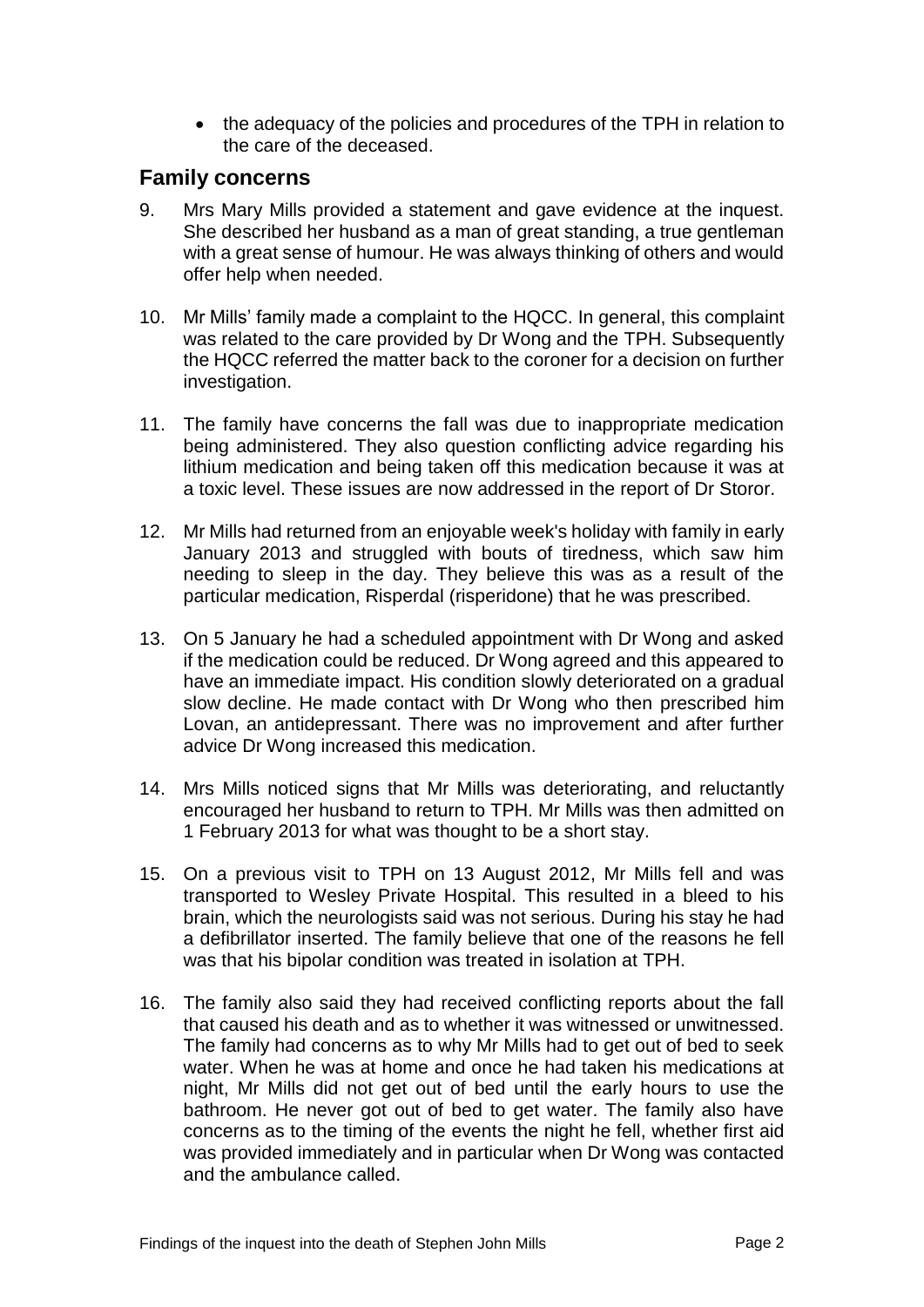• the adequacy of the policies and procedures of the TPH in relation to the care of the deceased.

# **Family concerns**

- 9. Mrs Mary Mills provided a statement and gave evidence at the inquest. She described her husband as a man of great standing, a true gentleman with a great sense of humour. He was always thinking of others and would offer help when needed.
- 10. Mr Mills' family made a complaint to the HQCC. In general, this complaint was related to the care provided by Dr Wong and the TPH. Subsequently the HQCC referred the matter back to the coroner for a decision on further investigation.
- 11. The family have concerns the fall was due to inappropriate medication being administered. They also question conflicting advice regarding his lithium medication and being taken off this medication because it was at a toxic level. These issues are now addressed in the report of Dr Storor.
- 12. Mr Mills had returned from an enjoyable week's holiday with family in early January 2013 and struggled with bouts of tiredness, which saw him needing to sleep in the day. They believe this was as a result of the particular medication, Risperdal (risperidone) that he was prescribed.
- 13. On 5 January he had a scheduled appointment with Dr Wong and asked if the medication could be reduced. Dr Wong agreed and this appeared to have an immediate impact. His condition slowly deteriorated on a gradual slow decline. He made contact with Dr Wong who then prescribed him Lovan, an antidepressant. There was no improvement and after further advice Dr Wong increased this medication.
- 14. Mrs Mills noticed signs that Mr Mills was deteriorating, and reluctantly encouraged her husband to return to TPH. Mr Mills was then admitted on 1 February 2013 for what was thought to be a short stay.
- 15. On a previous visit to TPH on 13 August 2012, Mr Mills fell and was transported to Wesley Private Hospital. This resulted in a bleed to his brain, which the neurologists said was not serious. During his stay he had a defibrillator inserted. The family believe that one of the reasons he fell was that his bipolar condition was treated in isolation at TPH.
- 16. The family also said they had received conflicting reports about the fall that caused his death and as to whether it was witnessed or unwitnessed. The family had concerns as to why Mr Mills had to get out of bed to seek water. When he was at home and once he had taken his medications at night, Mr Mills did not get out of bed until the early hours to use the bathroom. He never got out of bed to get water. The family also have concerns as to the timing of the events the night he fell, whether first aid was provided immediately and in particular when Dr Wong was contacted and the ambulance called.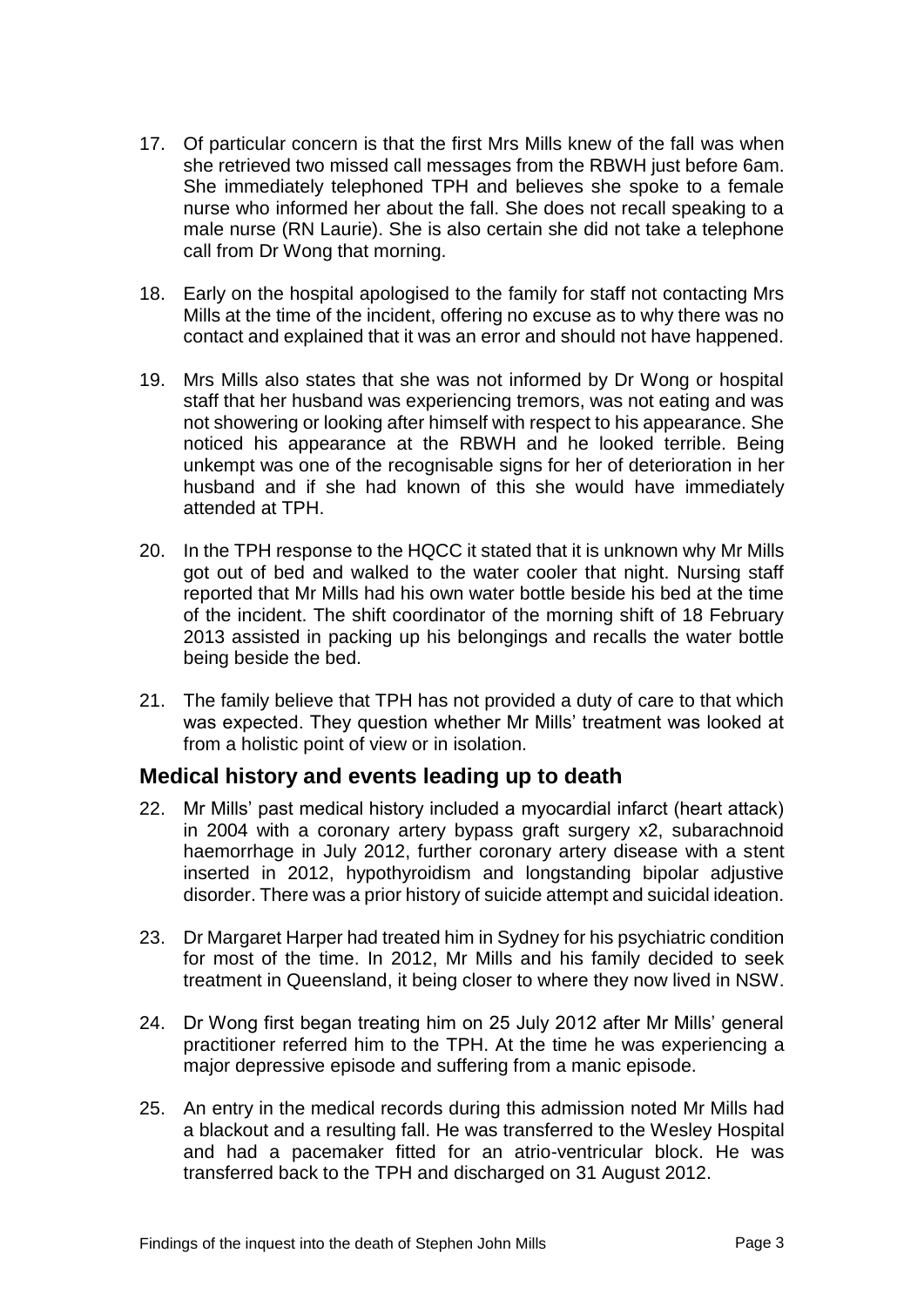- 17. Of particular concern is that the first Mrs Mills knew of the fall was when she retrieved two missed call messages from the RBWH just before 6am. She immediately telephoned TPH and believes she spoke to a female nurse who informed her about the fall. She does not recall speaking to a male nurse (RN Laurie). She is also certain she did not take a telephone call from Dr Wong that morning.
- 18. Early on the hospital apologised to the family for staff not contacting Mrs Mills at the time of the incident, offering no excuse as to why there was no contact and explained that it was an error and should not have happened.
- 19. Mrs Mills also states that she was not informed by Dr Wong or hospital staff that her husband was experiencing tremors, was not eating and was not showering or looking after himself with respect to his appearance. She noticed his appearance at the RBWH and he looked terrible. Being unkempt was one of the recognisable signs for her of deterioration in her husband and if she had known of this she would have immediately attended at TPH.
- 20. In the TPH response to the HQCC it stated that it is unknown why Mr Mills got out of bed and walked to the water cooler that night. Nursing staff reported that Mr Mills had his own water bottle beside his bed at the time of the incident. The shift coordinator of the morning shift of 18 February 2013 assisted in packing up his belongings and recalls the water bottle being beside the bed.
- 21. The family believe that TPH has not provided a duty of care to that which was expected. They question whether Mr Mills' treatment was looked at from a holistic point of view or in isolation.

# **Medical history and events leading up to death**

- 22. Mr Mills' past medical history included a myocardial infarct (heart attack) in 2004 with a coronary artery bypass graft surgery x2, subarachnoid haemorrhage in July 2012, further coronary artery disease with a stent inserted in 2012, hypothyroidism and longstanding bipolar adjustive disorder. There was a prior history of suicide attempt and suicidal ideation.
- 23. Dr Margaret Harper had treated him in Sydney for his psychiatric condition for most of the time. In 2012, Mr Mills and his family decided to seek treatment in Queensland, it being closer to where they now lived in NSW.
- 24. Dr Wong first began treating him on 25 July 2012 after Mr Mills' general practitioner referred him to the TPH. At the time he was experiencing a major depressive episode and suffering from a manic episode.
- 25. An entry in the medical records during this admission noted Mr Mills had a blackout and a resulting fall. He was transferred to the Wesley Hospital and had a pacemaker fitted for an atrio-ventricular block. He was transferred back to the TPH and discharged on 31 August 2012.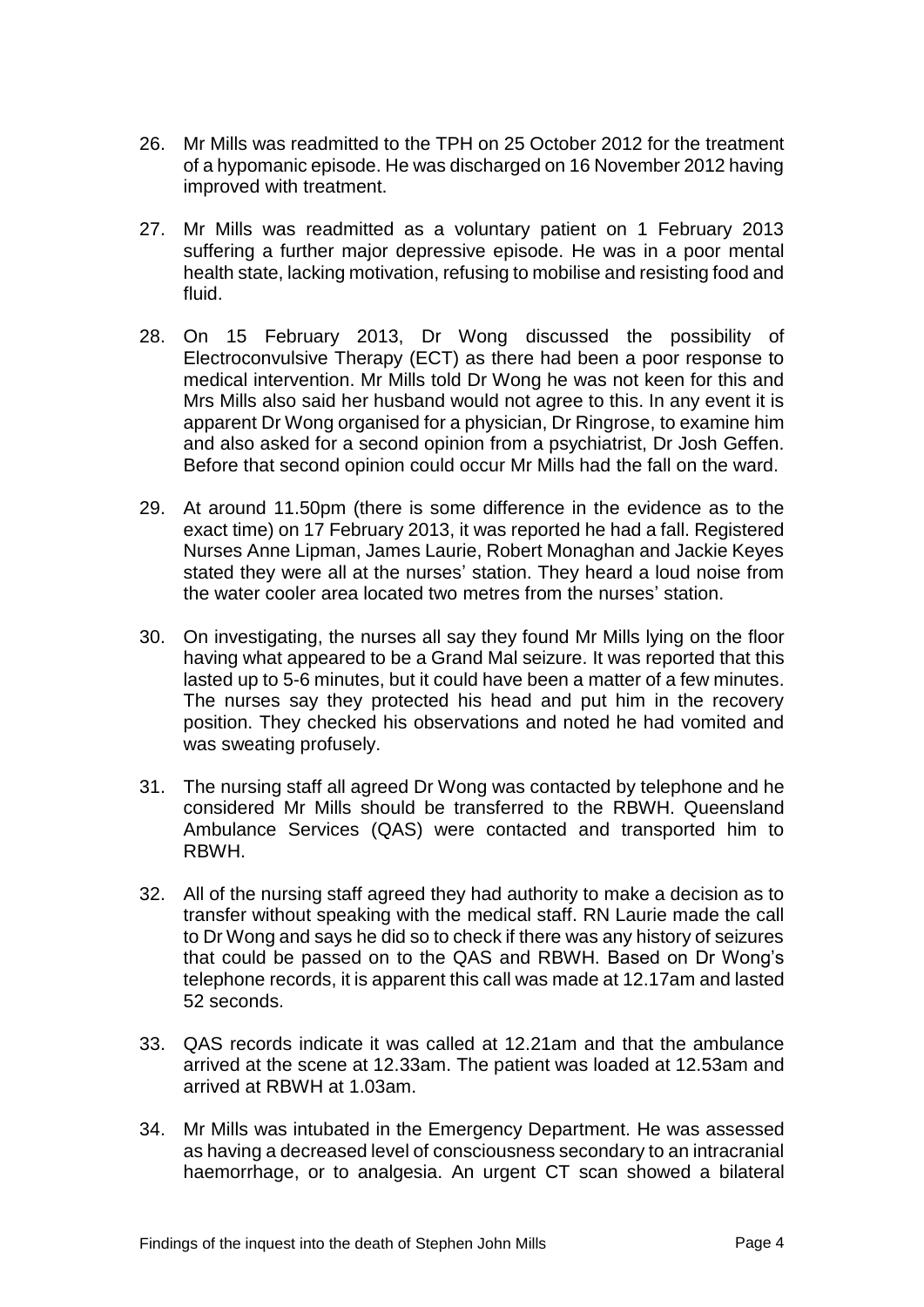- 26. Mr Mills was readmitted to the TPH on 25 October 2012 for the treatment of a hypomanic episode. He was discharged on 16 November 2012 having improved with treatment.
- 27. Mr Mills was readmitted as a voluntary patient on 1 February 2013 suffering a further major depressive episode. He was in a poor mental health state, lacking motivation, refusing to mobilise and resisting food and fluid.
- 28. On 15 February 2013, Dr Wong discussed the possibility of Electroconvulsive Therapy (ECT) as there had been a poor response to medical intervention. Mr Mills told Dr Wong he was not keen for this and Mrs Mills also said her husband would not agree to this. In any event it is apparent Dr Wong organised for a physician, Dr Ringrose, to examine him and also asked for a second opinion from a psychiatrist, Dr Josh Geffen. Before that second opinion could occur Mr Mills had the fall on the ward.
- 29. At around 11.50pm (there is some difference in the evidence as to the exact time) on 17 February 2013, it was reported he had a fall. Registered Nurses Anne Lipman, James Laurie, Robert Monaghan and Jackie Keyes stated they were all at the nurses' station. They heard a loud noise from the water cooler area located two metres from the nurses' station.
- 30. On investigating, the nurses all say they found Mr Mills lying on the floor having what appeared to be a Grand Mal seizure. It was reported that this lasted up to 5-6 minutes, but it could have been a matter of a few minutes. The nurses say they protected his head and put him in the recovery position. They checked his observations and noted he had vomited and was sweating profusely.
- 31. The nursing staff all agreed Dr Wong was contacted by telephone and he considered Mr Mills should be transferred to the RBWH. Queensland Ambulance Services (QAS) were contacted and transported him to RBWH.
- 32. All of the nursing staff agreed they had authority to make a decision as to transfer without speaking with the medical staff. RN Laurie made the call to Dr Wong and says he did so to check if there was any history of seizures that could be passed on to the QAS and RBWH. Based on Dr Wong's telephone records, it is apparent this call was made at 12.17am and lasted 52 seconds.
- 33. QAS records indicate it was called at 12.21am and that the ambulance arrived at the scene at 12.33am. The patient was loaded at 12.53am and arrived at RBWH at 1.03am.
- 34. Mr Mills was intubated in the Emergency Department. He was assessed as having a decreased level of consciousness secondary to an intracranial haemorrhage, or to analgesia. An urgent CT scan showed a bilateral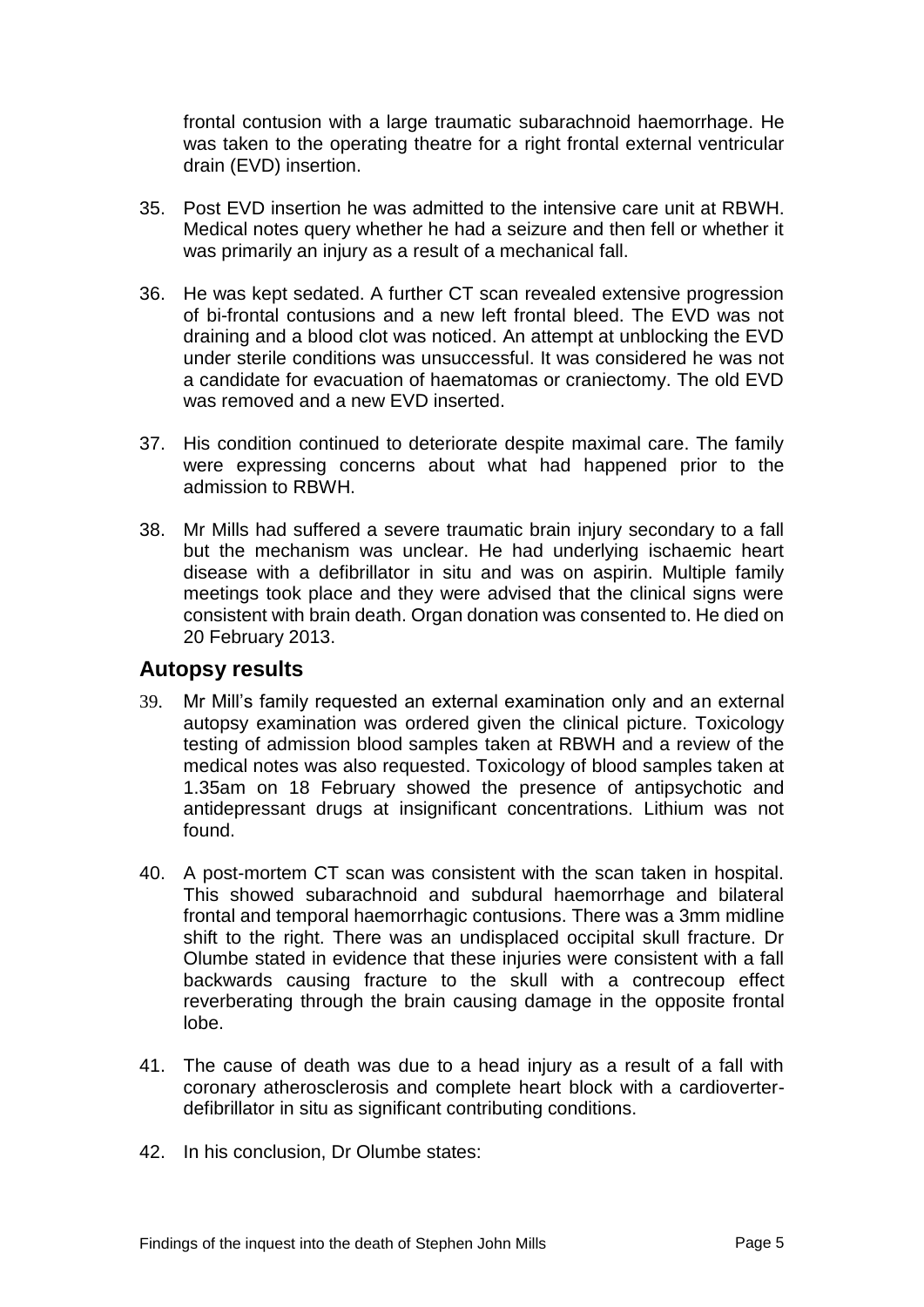frontal contusion with a large traumatic subarachnoid haemorrhage. He was taken to the operating theatre for a right frontal external ventricular drain (EVD) insertion.

- 35. Post EVD insertion he was admitted to the intensive care unit at RBWH. Medical notes query whether he had a seizure and then fell or whether it was primarily an injury as a result of a mechanical fall.
- 36. He was kept sedated. A further CT scan revealed extensive progression of bi-frontal contusions and a new left frontal bleed. The EVD was not draining and a blood clot was noticed. An attempt at unblocking the EVD under sterile conditions was unsuccessful. It was considered he was not a candidate for evacuation of haematomas or craniectomy. The old EVD was removed and a new EVD inserted.
- 37. His condition continued to deteriorate despite maximal care. The family were expressing concerns about what had happened prior to the admission to RBWH.
- 38. Mr Mills had suffered a severe traumatic brain injury secondary to a fall but the mechanism was unclear. He had underlying ischaemic heart disease with a defibrillator in situ and was on aspirin. Multiple family meetings took place and they were advised that the clinical signs were consistent with brain death. Organ donation was consented to. He died on 20 February 2013.

## **Autopsy results**

- 39. Mr Mill's family requested an external examination only and an external autopsy examination was ordered given the clinical picture. Toxicology testing of admission blood samples taken at RBWH and a review of the medical notes was also requested. Toxicology of blood samples taken at 1.35am on 18 February showed the presence of antipsychotic and antidepressant drugs at insignificant concentrations. Lithium was not found.
- 40. A post-mortem CT scan was consistent with the scan taken in hospital. This showed subarachnoid and subdural haemorrhage and bilateral frontal and temporal haemorrhagic contusions. There was a 3mm midline shift to the right. There was an undisplaced occipital skull fracture. Dr Olumbe stated in evidence that these injuries were consistent with a fall backwards causing fracture to the skull with a contrecoup effect reverberating through the brain causing damage in the opposite frontal lobe.
- 41. The cause of death was due to a head injury as a result of a fall with coronary atherosclerosis and complete heart block with a cardioverterdefibrillator in situ as significant contributing conditions.
- 42. In his conclusion, Dr Olumbe states: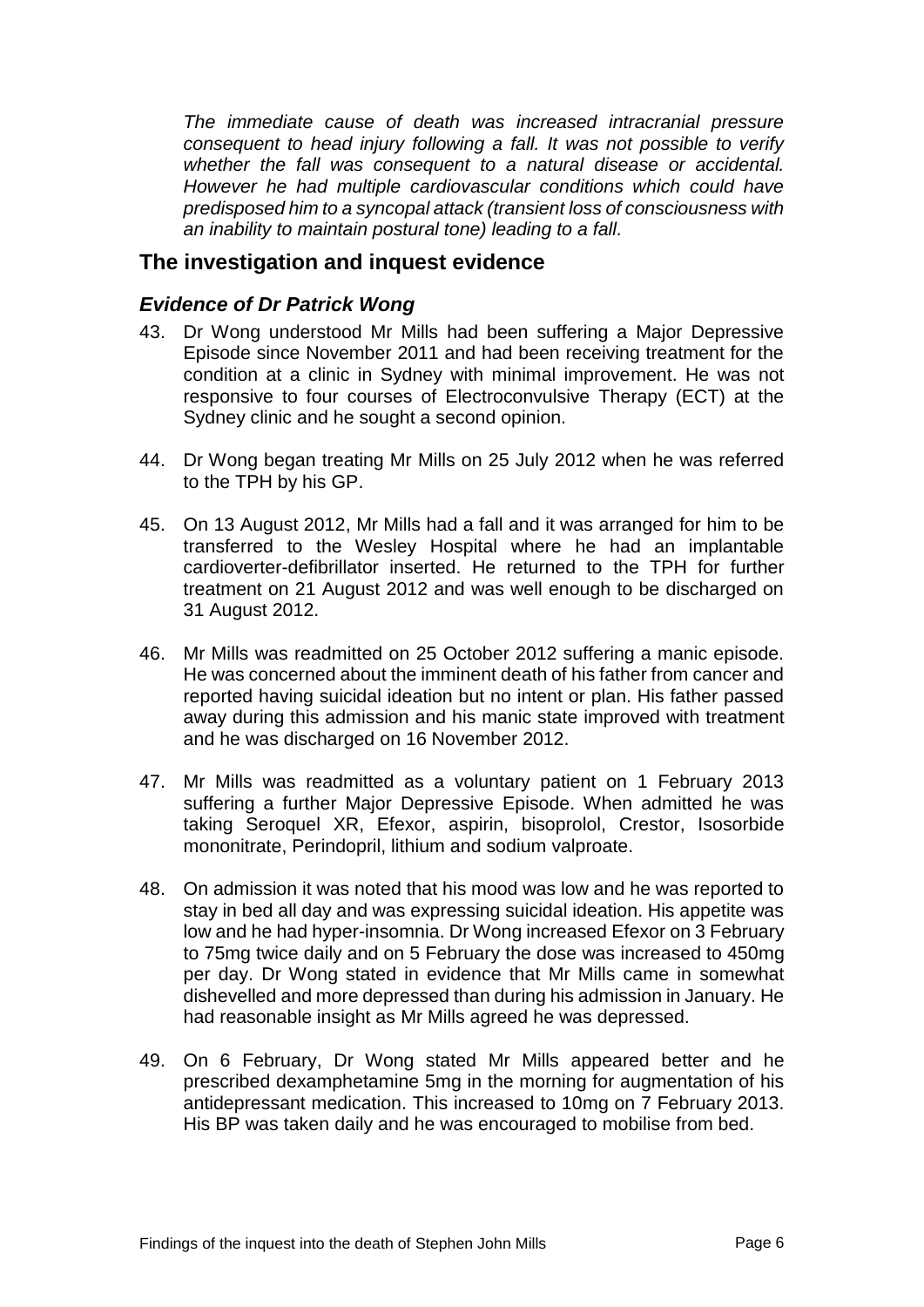*The immediate cause of death was increased intracranial pressure consequent to head injury following a fall. It was not possible to verify whether the fall was consequent to a natural disease or accidental. However he had multiple cardiovascular conditions which could have predisposed him to a syncopal attack (transient loss of consciousness with an inability to maintain postural tone) leading to a fall.*

# **The investigation and inquest evidence**

# *Evidence of Dr Patrick Wong*

- 43. Dr Wong understood Mr Mills had been suffering a Major Depressive Episode since November 2011 and had been receiving treatment for the condition at a clinic in Sydney with minimal improvement. He was not responsive to four courses of Electroconvulsive Therapy (ECT) at the Sydney clinic and he sought a second opinion.
- 44. Dr Wong began treating Mr Mills on 25 July 2012 when he was referred to the TPH by his GP.
- 45. On 13 August 2012, Mr Mills had a fall and it was arranged for him to be transferred to the Wesley Hospital where he had an implantable cardioverter-defibrillator inserted. He returned to the TPH for further treatment on 21 August 2012 and was well enough to be discharged on 31 August 2012.
- 46. Mr Mills was readmitted on 25 October 2012 suffering a manic episode. He was concerned about the imminent death of his father from cancer and reported having suicidal ideation but no intent or plan. His father passed away during this admission and his manic state improved with treatment and he was discharged on 16 November 2012.
- 47. Mr Mills was readmitted as a voluntary patient on 1 February 2013 suffering a further Major Depressive Episode. When admitted he was taking Seroquel XR, Efexor, aspirin, bisoprolol, Crestor, Isosorbide mononitrate, Perindopril, lithium and sodium valproate.
- 48. On admission it was noted that his mood was low and he was reported to stay in bed all day and was expressing suicidal ideation. His appetite was low and he had hyper-insomnia. Dr Wong increased Efexor on 3 February to 75mg twice daily and on 5 February the dose was increased to 450mg per day. Dr Wong stated in evidence that Mr Mills came in somewhat dishevelled and more depressed than during his admission in January. He had reasonable insight as Mr Mills agreed he was depressed.
- 49. On 6 February, Dr Wong stated Mr Mills appeared better and he prescribed dexamphetamine 5mg in the morning for augmentation of his antidepressant medication. This increased to 10mg on 7 February 2013. His BP was taken daily and he was encouraged to mobilise from bed.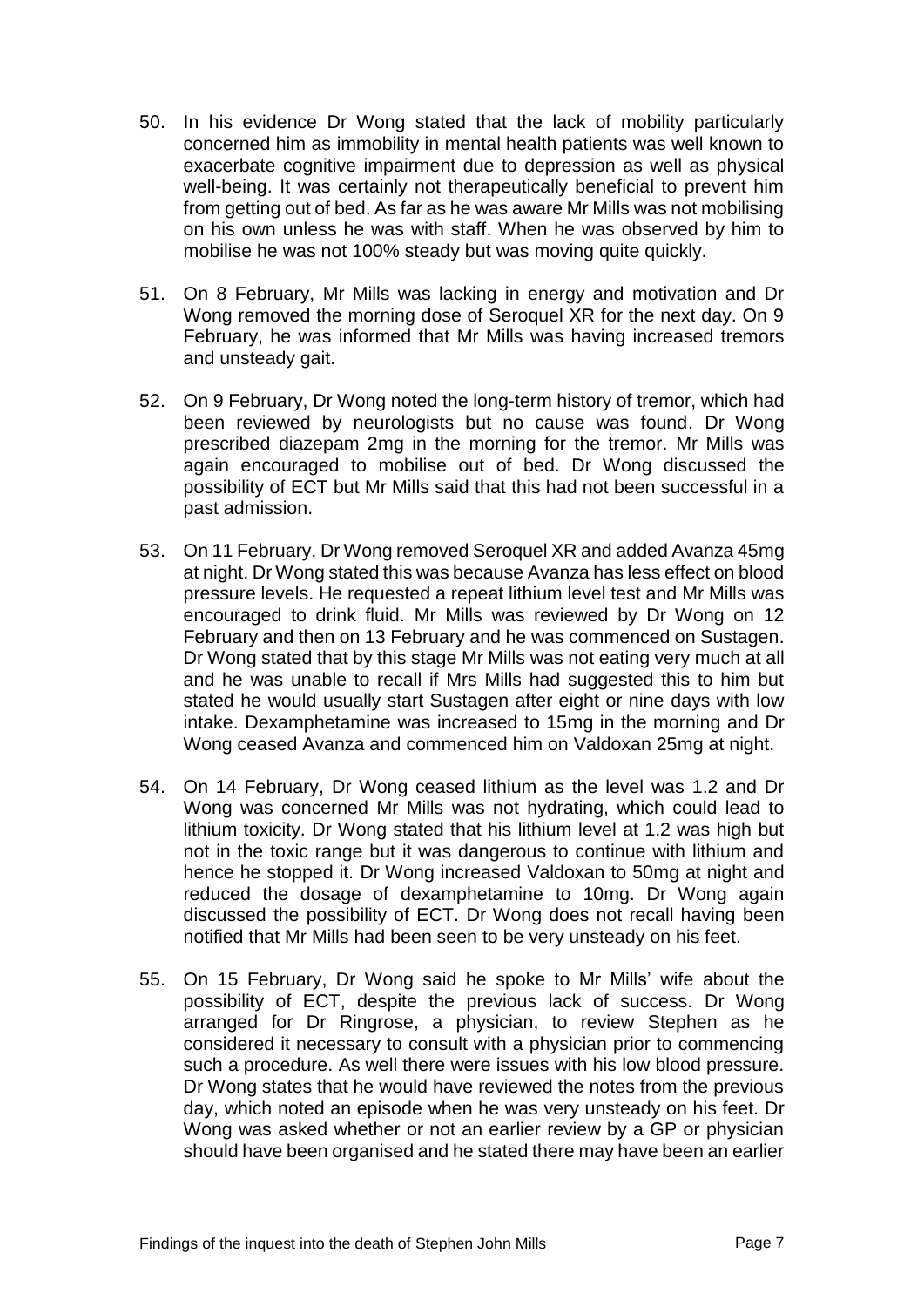- 50. In his evidence Dr Wong stated that the lack of mobility particularly concerned him as immobility in mental health patients was well known to exacerbate cognitive impairment due to depression as well as physical well-being. It was certainly not therapeutically beneficial to prevent him from getting out of bed. As far as he was aware Mr Mills was not mobilising on his own unless he was with staff. When he was observed by him to mobilise he was not 100% steady but was moving quite quickly.
- 51. On 8 February, Mr Mills was lacking in energy and motivation and Dr Wong removed the morning dose of Seroquel XR for the next day. On 9 February, he was informed that Mr Mills was having increased tremors and unsteady gait.
- 52. On 9 February, Dr Wong noted the long-term history of tremor, which had been reviewed by neurologists but no cause was found. Dr Wong prescribed diazepam 2mg in the morning for the tremor. Mr Mills was again encouraged to mobilise out of bed. Dr Wong discussed the possibility of ECT but Mr Mills said that this had not been successful in a past admission.
- 53. On 11 February, Dr Wong removed Seroquel XR and added Avanza 45mg at night. Dr Wong stated this was because Avanza has less effect on blood pressure levels. He requested a repeat lithium level test and Mr Mills was encouraged to drink fluid. Mr Mills was reviewed by Dr Wong on 12 February and then on 13 February and he was commenced on Sustagen. Dr Wong stated that by this stage Mr Mills was not eating very much at all and he was unable to recall if Mrs Mills had suggested this to him but stated he would usually start Sustagen after eight or nine days with low intake. Dexamphetamine was increased to 15mg in the morning and Dr Wong ceased Avanza and commenced him on Valdoxan 25mg at night.
- 54. On 14 February, Dr Wong ceased lithium as the level was 1.2 and Dr Wong was concerned Mr Mills was not hydrating, which could lead to lithium toxicity. Dr Wong stated that his lithium level at 1.2 was high but not in the toxic range but it was dangerous to continue with lithium and hence he stopped it. Dr Wong increased Valdoxan to 50mg at night and reduced the dosage of dexamphetamine to 10mg. Dr Wong again discussed the possibility of ECT. Dr Wong does not recall having been notified that Mr Mills had been seen to be very unsteady on his feet.
- 55. On 15 February, Dr Wong said he spoke to Mr Mills' wife about the possibility of ECT, despite the previous lack of success. Dr Wong arranged for Dr Ringrose, a physician, to review Stephen as he considered it necessary to consult with a physician prior to commencing such a procedure. As well there were issues with his low blood pressure. Dr Wong states that he would have reviewed the notes from the previous day, which noted an episode when he was very unsteady on his feet. Dr Wong was asked whether or not an earlier review by a GP or physician should have been organised and he stated there may have been an earlier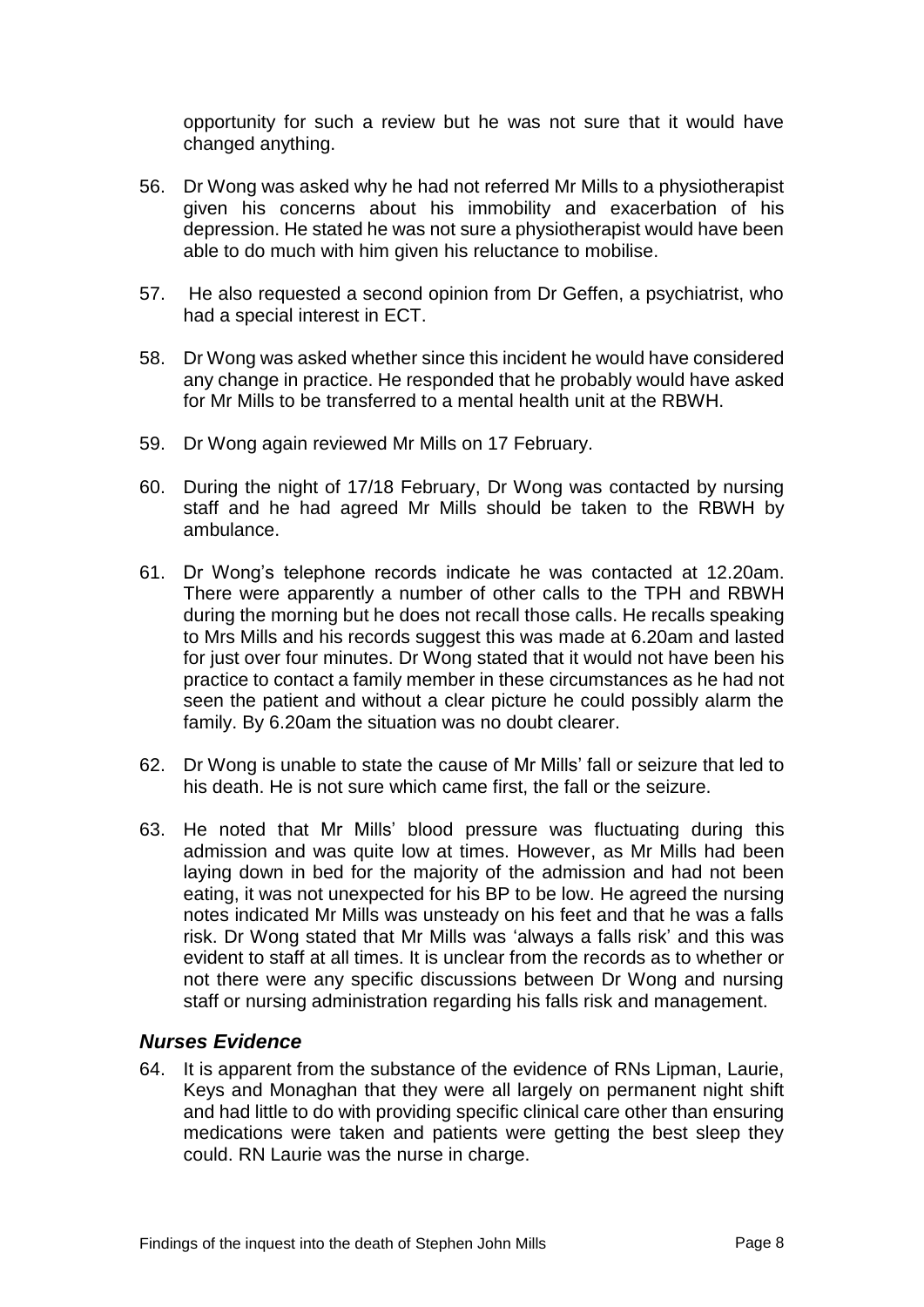opportunity for such a review but he was not sure that it would have changed anything.

- 56. Dr Wong was asked why he had not referred Mr Mills to a physiotherapist given his concerns about his immobility and exacerbation of his depression. He stated he was not sure a physiotherapist would have been able to do much with him given his reluctance to mobilise.
- 57. He also requested a second opinion from Dr Geffen, a psychiatrist, who had a special interest in ECT.
- 58. Dr Wong was asked whether since this incident he would have considered any change in practice. He responded that he probably would have asked for Mr Mills to be transferred to a mental health unit at the RBWH.
- 59. Dr Wong again reviewed Mr Mills on 17 February.
- 60. During the night of 17/18 February, Dr Wong was contacted by nursing staff and he had agreed Mr Mills should be taken to the RBWH by ambulance.
- 61. Dr Wong's telephone records indicate he was contacted at 12.20am. There were apparently a number of other calls to the TPH and RBWH during the morning but he does not recall those calls. He recalls speaking to Mrs Mills and his records suggest this was made at 6.20am and lasted for just over four minutes. Dr Wong stated that it would not have been his practice to contact a family member in these circumstances as he had not seen the patient and without a clear picture he could possibly alarm the family. By 6.20am the situation was no doubt clearer.
- 62. Dr Wong is unable to state the cause of Mr Mills' fall or seizure that led to his death. He is not sure which came first, the fall or the seizure.
- 63. He noted that Mr Mills' blood pressure was fluctuating during this admission and was quite low at times. However, as Mr Mills had been laying down in bed for the majority of the admission and had not been eating, it was not unexpected for his BP to be low. He agreed the nursing notes indicated Mr Mills was unsteady on his feet and that he was a falls risk. Dr Wong stated that Mr Mills was 'always a falls risk' and this was evident to staff at all times. It is unclear from the records as to whether or not there were any specific discussions between Dr Wong and nursing staff or nursing administration regarding his falls risk and management.

## *Nurses Evidence*

64. It is apparent from the substance of the evidence of RNs Lipman, Laurie, Keys and Monaghan that they were all largely on permanent night shift and had little to do with providing specific clinical care other than ensuring medications were taken and patients were getting the best sleep they could. RN Laurie was the nurse in charge.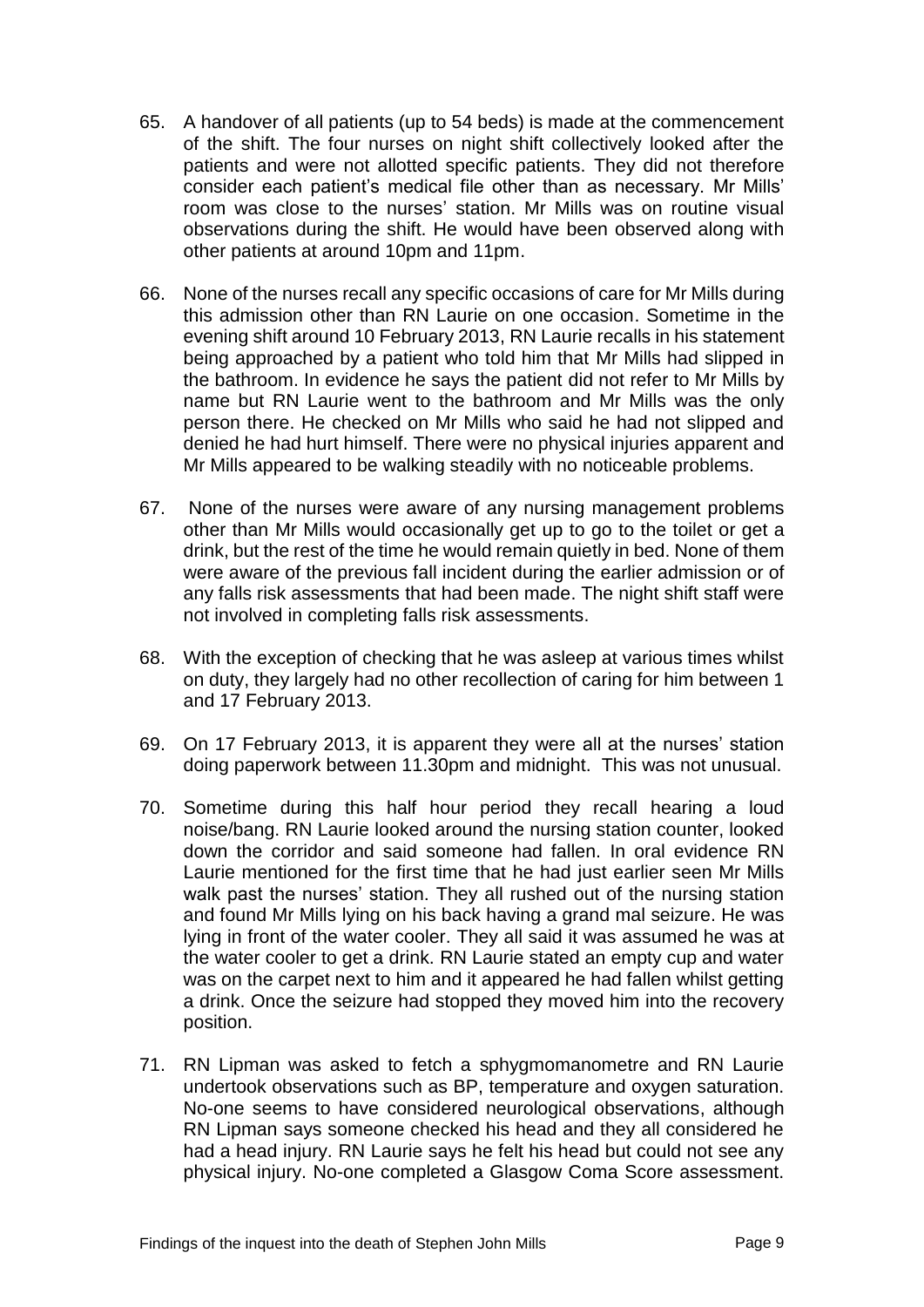- 65. A handover of all patients (up to 54 beds) is made at the commencement of the shift. The four nurses on night shift collectively looked after the patients and were not allotted specific patients. They did not therefore consider each patient's medical file other than as necessary. Mr Mills' room was close to the nurses' station. Mr Mills was on routine visual observations during the shift. He would have been observed along with other patients at around 10pm and 11pm.
- 66. None of the nurses recall any specific occasions of care for Mr Mills during this admission other than RN Laurie on one occasion. Sometime in the evening shift around 10 February 2013, RN Laurie recalls in his statement being approached by a patient who told him that Mr Mills had slipped in the bathroom. In evidence he says the patient did not refer to Mr Mills by name but RN Laurie went to the bathroom and Mr Mills was the only person there. He checked on Mr Mills who said he had not slipped and denied he had hurt himself. There were no physical injuries apparent and Mr Mills appeared to be walking steadily with no noticeable problems.
- 67. None of the nurses were aware of any nursing management problems other than Mr Mills would occasionally get up to go to the toilet or get a drink, but the rest of the time he would remain quietly in bed. None of them were aware of the previous fall incident during the earlier admission or of any falls risk assessments that had been made. The night shift staff were not involved in completing falls risk assessments.
- 68. With the exception of checking that he was asleep at various times whilst on duty, they largely had no other recollection of caring for him between 1 and 17 February 2013.
- 69. On 17 February 2013, it is apparent they were all at the nurses' station doing paperwork between 11.30pm and midnight. This was not unusual.
- 70. Sometime during this half hour period they recall hearing a loud noise/bang. RN Laurie looked around the nursing station counter, looked down the corridor and said someone had fallen. In oral evidence RN Laurie mentioned for the first time that he had just earlier seen Mr Mills walk past the nurses' station. They all rushed out of the nursing station and found Mr Mills lying on his back having a grand mal seizure. He was lying in front of the water cooler. They all said it was assumed he was at the water cooler to get a drink. RN Laurie stated an empty cup and water was on the carpet next to him and it appeared he had fallen whilst getting a drink. Once the seizure had stopped they moved him into the recovery position.
- 71. RN Lipman was asked to fetch a sphygmomanometre and RN Laurie undertook observations such as BP, temperature and oxygen saturation. No-one seems to have considered neurological observations, although RN Lipman says someone checked his head and they all considered he had a head injury. RN Laurie says he felt his head but could not see any physical injury. No-one completed a Glasgow Coma Score assessment.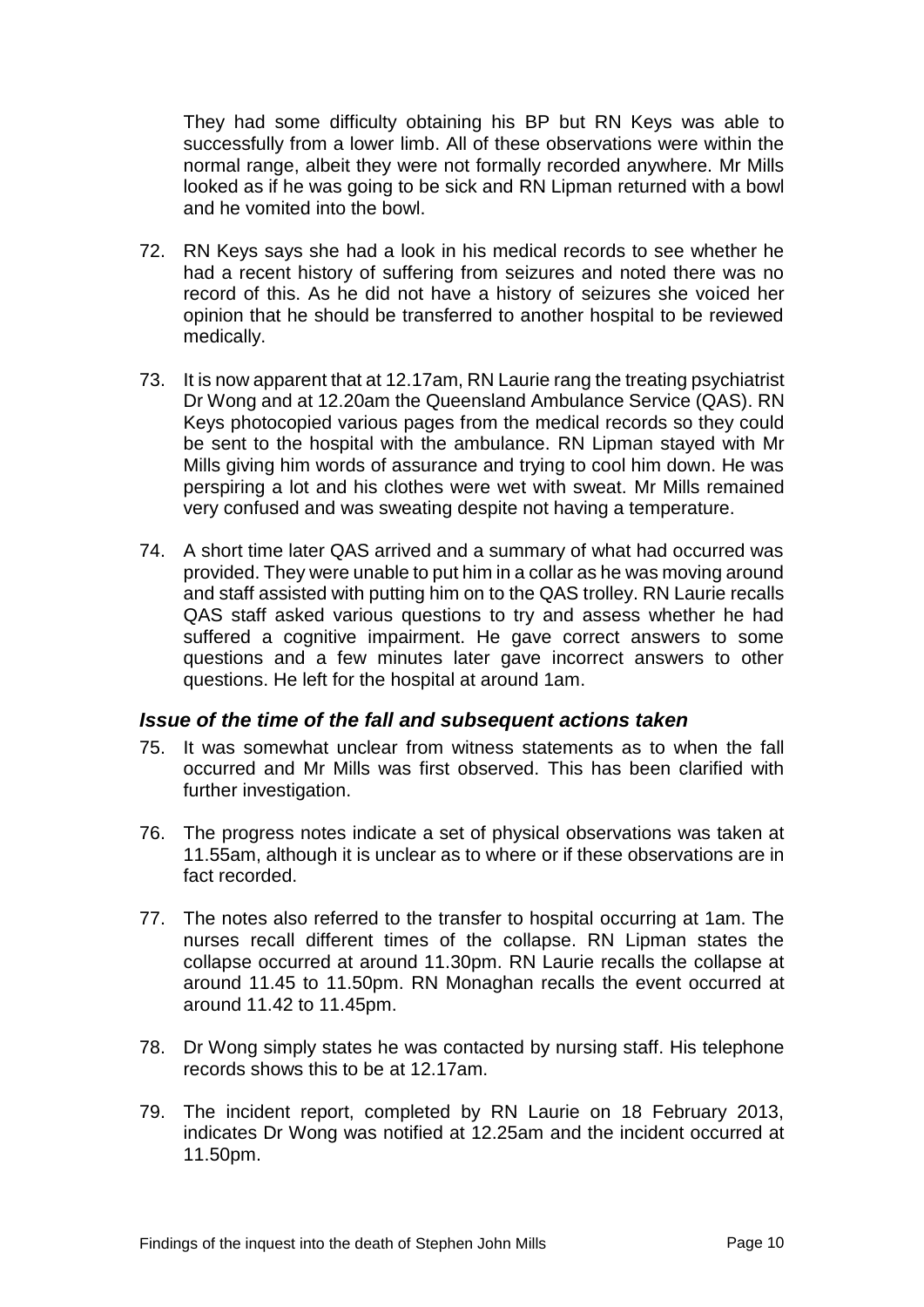They had some difficulty obtaining his BP but RN Keys was able to successfully from a lower limb. All of these observations were within the normal range, albeit they were not formally recorded anywhere. Mr Mills looked as if he was going to be sick and RN Lipman returned with a bowl and he vomited into the bowl.

- 72. RN Keys says she had a look in his medical records to see whether he had a recent history of suffering from seizures and noted there was no record of this. As he did not have a history of seizures she voiced her opinion that he should be transferred to another hospital to be reviewed medically.
- 73. It is now apparent that at 12.17am, RN Laurie rang the treating psychiatrist Dr Wong and at 12.20am the Queensland Ambulance Service (QAS). RN Keys photocopied various pages from the medical records so they could be sent to the hospital with the ambulance. RN Lipman stayed with Mr Mills giving him words of assurance and trying to cool him down. He was perspiring a lot and his clothes were wet with sweat. Mr Mills remained very confused and was sweating despite not having a temperature.
- 74. A short time later QAS arrived and a summary of what had occurred was provided. They were unable to put him in a collar as he was moving around and staff assisted with putting him on to the QAS trolley. RN Laurie recalls QAS staff asked various questions to try and assess whether he had suffered a cognitive impairment. He gave correct answers to some questions and a few minutes later gave incorrect answers to other questions. He left for the hospital at around 1am.

## *Issue of the time of the fall and subsequent actions taken*

- 75. It was somewhat unclear from witness statements as to when the fall occurred and Mr Mills was first observed. This has been clarified with further investigation.
- 76. The progress notes indicate a set of physical observations was taken at 11.55am, although it is unclear as to where or if these observations are in fact recorded.
- 77. The notes also referred to the transfer to hospital occurring at 1am. The nurses recall different times of the collapse. RN Lipman states the collapse occurred at around 11.30pm. RN Laurie recalls the collapse at around 11.45 to 11.50pm. RN Monaghan recalls the event occurred at around 11.42 to 11.45pm.
- 78. Dr Wong simply states he was contacted by nursing staff. His telephone records shows this to be at 12.17am.
- 79. The incident report, completed by RN Laurie on 18 February 2013, indicates Dr Wong was notified at 12.25am and the incident occurred at 11.50pm.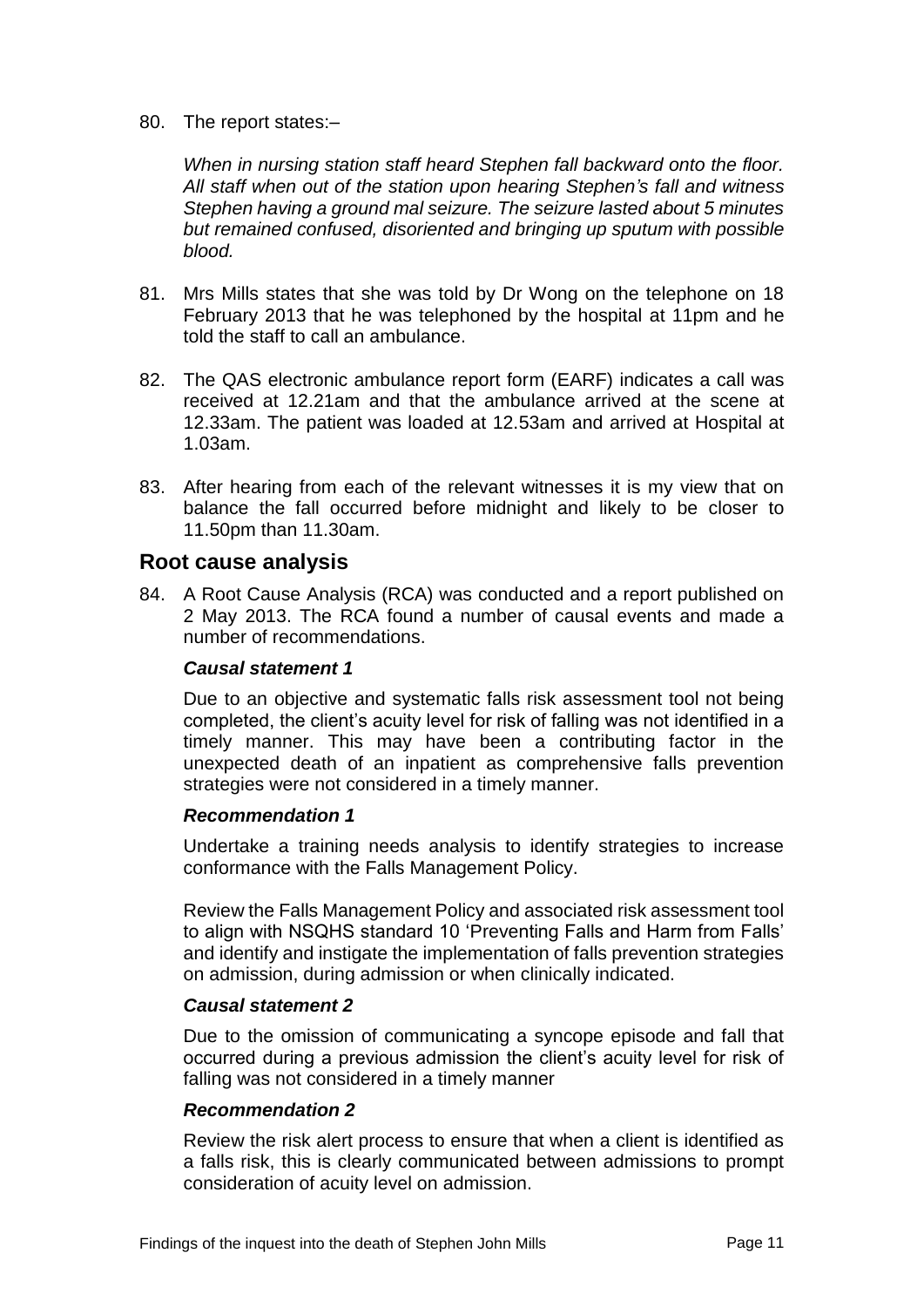80. The report states:–

*When in nursing station staff heard Stephen fall backward onto the floor. All staff when out of the station upon hearing Stephen's fall and witness Stephen having a ground mal seizure. The seizure lasted about 5 minutes but remained confused, disoriented and bringing up sputum with possible blood.*

- 81. Mrs Mills states that she was told by Dr Wong on the telephone on 18 February 2013 that he was telephoned by the hospital at 11pm and he told the staff to call an ambulance.
- 82. The QAS electronic ambulance report form (EARF) indicates a call was received at 12.21am and that the ambulance arrived at the scene at 12.33am. The patient was loaded at 12.53am and arrived at Hospital at 1.03am.
- 83. After hearing from each of the relevant witnesses it is my view that on balance the fall occurred before midnight and likely to be closer to 11.50pm than 11.30am.

# **Root cause analysis**

84. A Root Cause Analysis (RCA) was conducted and a report published on 2 May 2013. The RCA found a number of causal events and made a number of recommendations.

#### *Causal statement 1*

Due to an objective and systematic falls risk assessment tool not being completed, the client's acuity level for risk of falling was not identified in a timely manner. This may have been a contributing factor in the unexpected death of an inpatient as comprehensive falls prevention strategies were not considered in a timely manner.

#### *Recommendation 1*

Undertake a training needs analysis to identify strategies to increase conformance with the Falls Management Policy.

Review the Falls Management Policy and associated risk assessment tool to align with NSQHS standard 10 'Preventing Falls and Harm from Falls' and identify and instigate the implementation of falls prevention strategies on admission, during admission or when clinically indicated.

#### *Causal statement 2*

Due to the omission of communicating a syncope episode and fall that occurred during a previous admission the client's acuity level for risk of falling was not considered in a timely manner

## *Recommendation 2*

Review the risk alert process to ensure that when a client is identified as a falls risk, this is clearly communicated between admissions to prompt consideration of acuity level on admission.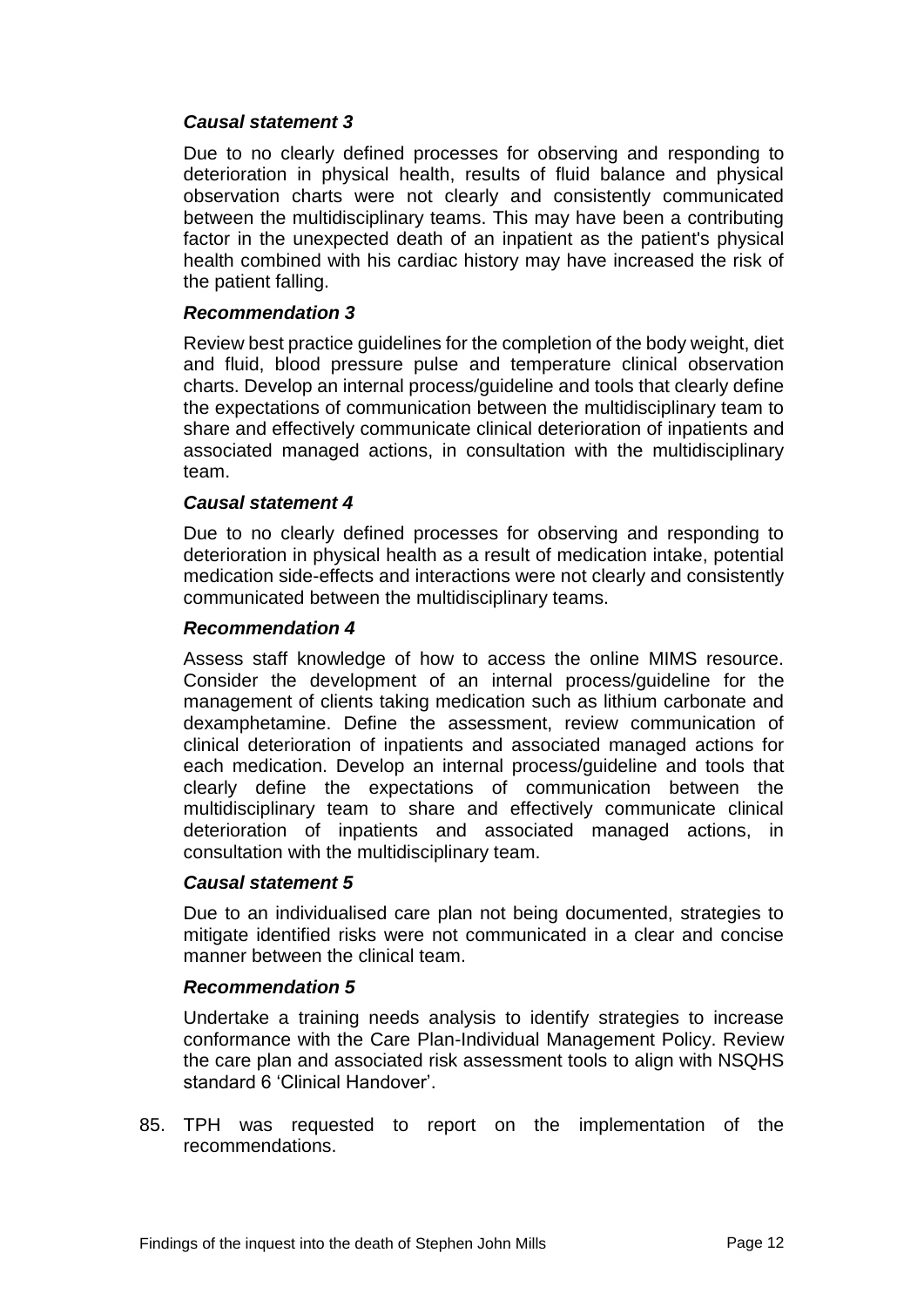## *Causal statement 3*

Due to no clearly defined processes for observing and responding to deterioration in physical health, results of fluid balance and physical observation charts were not clearly and consistently communicated between the multidisciplinary teams. This may have been a contributing factor in the unexpected death of an inpatient as the patient's physical health combined with his cardiac history may have increased the risk of the patient falling.

#### *Recommendation 3*

Review best practice guidelines for the completion of the body weight, diet and fluid, blood pressure pulse and temperature clinical observation charts. Develop an internal process/guideline and tools that clearly define the expectations of communication between the multidisciplinary team to share and effectively communicate clinical deterioration of inpatients and associated managed actions, in consultation with the multidisciplinary team.

#### *Causal statement 4*

Due to no clearly defined processes for observing and responding to deterioration in physical health as a result of medication intake, potential medication side-effects and interactions were not clearly and consistently communicated between the multidisciplinary teams.

#### *Recommendation 4*

Assess staff knowledge of how to access the online MIMS resource. Consider the development of an internal process/guideline for the management of clients taking medication such as lithium carbonate and dexamphetamine. Define the assessment, review communication of clinical deterioration of inpatients and associated managed actions for each medication. Develop an internal process/guideline and tools that clearly define the expectations of communication between the multidisciplinary team to share and effectively communicate clinical deterioration of inpatients and associated managed actions, in consultation with the multidisciplinary team.

#### *Causal statement 5*

Due to an individualised care plan not being documented, strategies to mitigate identified risks were not communicated in a clear and concise manner between the clinical team.

#### *Recommendation 5*

Undertake a training needs analysis to identify strategies to increase conformance with the Care Plan-Individual Management Policy. Review the care plan and associated risk assessment tools to align with NSQHS standard 6 'Clinical Handover'.

85. TPH was requested to report on the implementation of the recommendations.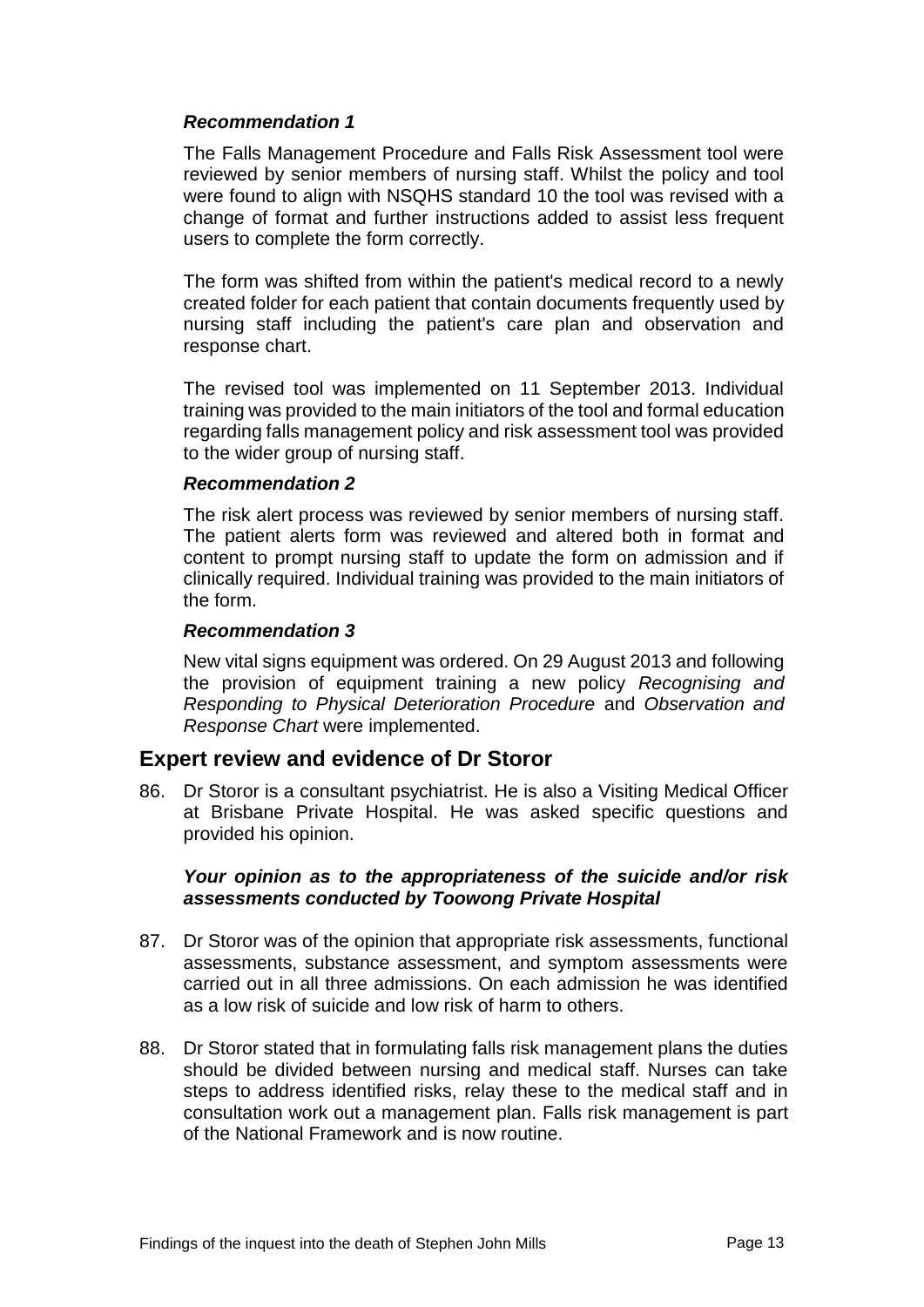## *Recommendation 1*

The Falls Management Procedure and Falls Risk Assessment tool were reviewed by senior members of nursing staff. Whilst the policy and tool were found to align with NSQHS standard 10 the tool was revised with a change of format and further instructions added to assist less frequent users to complete the form correctly.

The form was shifted from within the patient's medical record to a newly created folder for each patient that contain documents frequently used by nursing staff including the patient's care plan and observation and response chart.

The revised tool was implemented on 11 September 2013. Individual training was provided to the main initiators of the tool and formal education regarding falls management policy and risk assessment tool was provided to the wider group of nursing staff.

#### *Recommendation 2*

The risk alert process was reviewed by senior members of nursing staff. The patient alerts form was reviewed and altered both in format and content to prompt nursing staff to update the form on admission and if clinically required. Individual training was provided to the main initiators of the form.

#### *Recommendation 3*

New vital signs equipment was ordered. On 29 August 2013 and following the provision of equipment training a new policy *Recognising and Responding to Physical Deterioration Procedure* and *Observation and Response Chart* were implemented.

## **Expert review and evidence of Dr Storor**

86. Dr Storor is a consultant psychiatrist. He is also a Visiting Medical Officer at Brisbane Private Hospital. He was asked specific questions and provided his opinion.

#### *Your opinion as to the appropriateness of the suicide and/or risk assessments conducted by Toowong Private Hospital*

- 87. Dr Storor was of the opinion that appropriate risk assessments, functional assessments, substance assessment, and symptom assessments were carried out in all three admissions. On each admission he was identified as a low risk of suicide and low risk of harm to others.
- 88. Dr Storor stated that in formulating falls risk management plans the duties should be divided between nursing and medical staff. Nurses can take steps to address identified risks, relay these to the medical staff and in consultation work out a management plan. Falls risk management is part of the National Framework and is now routine.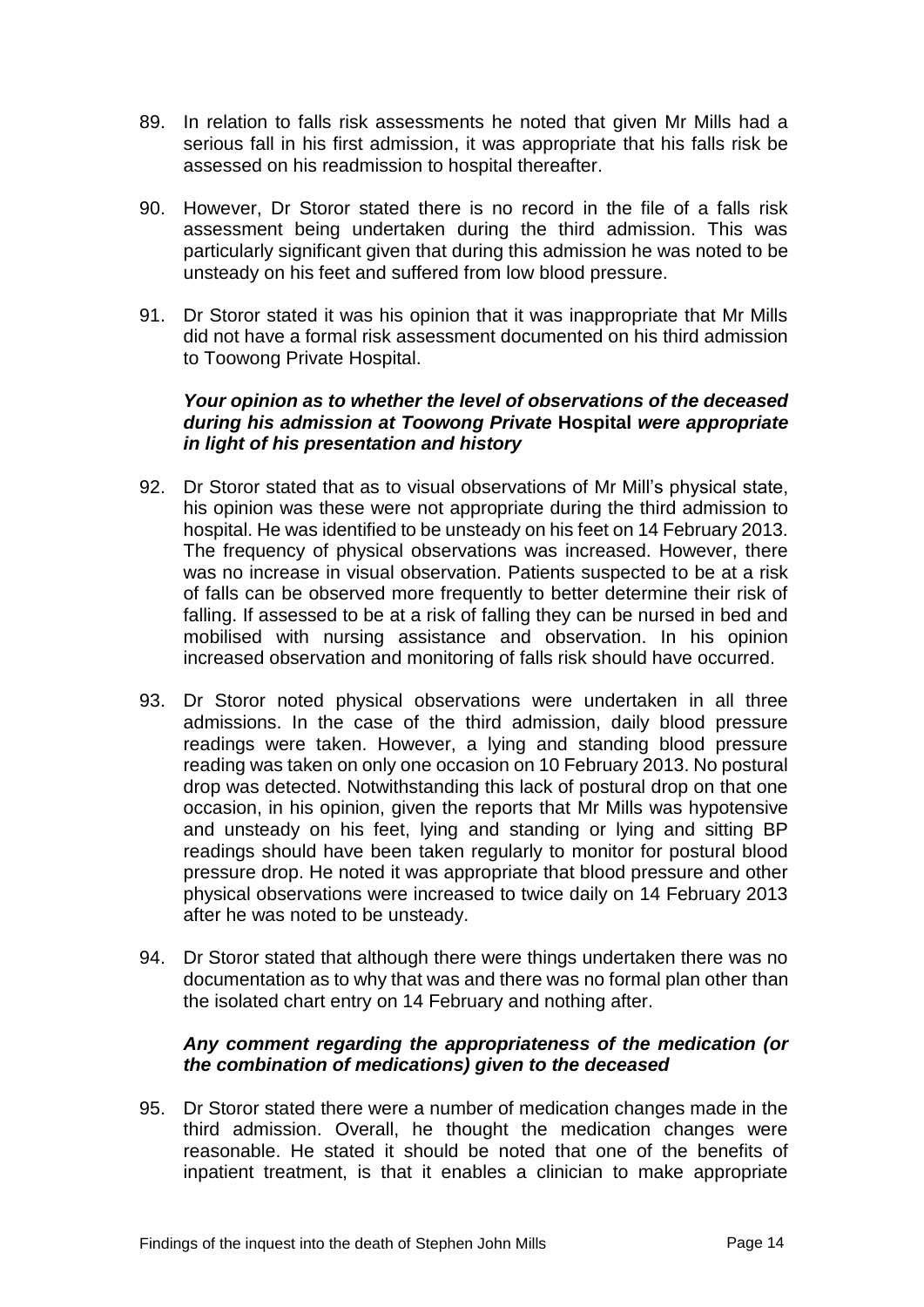- 89. In relation to falls risk assessments he noted that given Mr Mills had a serious fall in his first admission, it was appropriate that his falls risk be assessed on his readmission to hospital thereafter.
- 90. However, Dr Storor stated there is no record in the file of a falls risk assessment being undertaken during the third admission. This was particularly significant given that during this admission he was noted to be unsteady on his feet and suffered from low blood pressure.
- 91. Dr Storor stated it was his opinion that it was inappropriate that Mr Mills did not have a formal risk assessment documented on his third admission to Toowong Private Hospital.

## *Your opinion as to whether the level of observations of the deceased during his admission at Toowong Private* **Hospital** *were appropriate in light of his presentation and history*

- 92. Dr Storor stated that as to visual observations of Mr Mill's physical state, his opinion was these were not appropriate during the third admission to hospital. He was identified to be unsteady on his feet on 14 February 2013. The frequency of physical observations was increased. However, there was no increase in visual observation. Patients suspected to be at a risk of falls can be observed more frequently to better determine their risk of falling. If assessed to be at a risk of falling they can be nursed in bed and mobilised with nursing assistance and observation. In his opinion increased observation and monitoring of falls risk should have occurred.
- 93. Dr Storor noted physical observations were undertaken in all three admissions. In the case of the third admission, daily blood pressure readings were taken. However, a lying and standing blood pressure reading was taken on only one occasion on 10 February 2013. No postural drop was detected. Notwithstanding this lack of postural drop on that one occasion, in his opinion, given the reports that Mr Mills was hypotensive and unsteady on his feet, lying and standing or lying and sitting BP readings should have been taken regularly to monitor for postural blood pressure drop. He noted it was appropriate that blood pressure and other physical observations were increased to twice daily on 14 February 2013 after he was noted to be unsteady.
- 94. Dr Storor stated that although there were things undertaken there was no documentation as to why that was and there was no formal plan other than the isolated chart entry on 14 February and nothing after.

# *Any comment regarding the appropriateness of the medication (or the combination of medications) given to the deceased*

95. Dr Storor stated there were a number of medication changes made in the third admission. Overall, he thought the medication changes were reasonable. He stated it should be noted that one of the benefits of inpatient treatment, is that it enables a clinician to make appropriate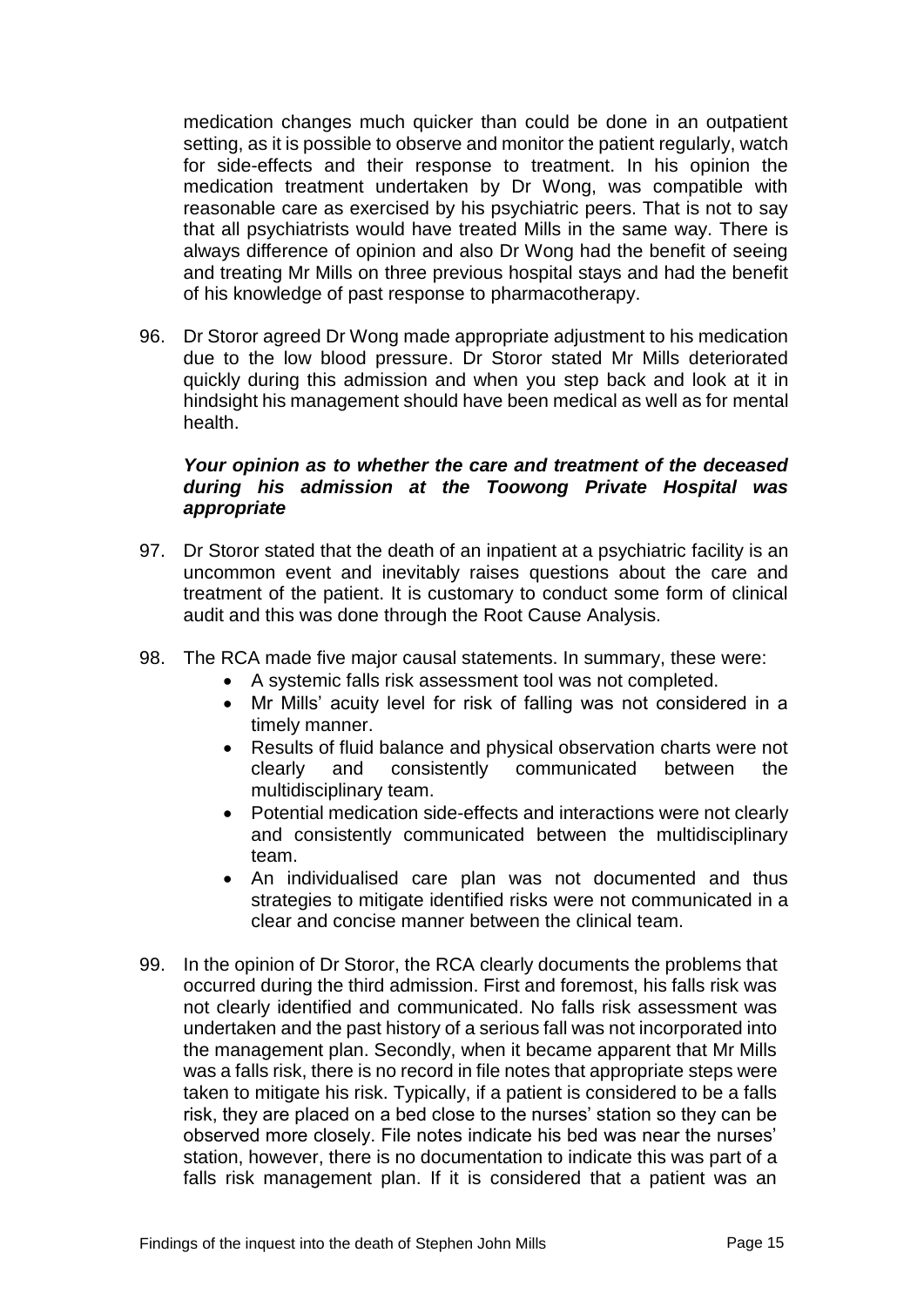medication changes much quicker than could be done in an outpatient setting, as it is possible to observe and monitor the patient regularly, watch for side-effects and their response to treatment. In his opinion the medication treatment undertaken by Dr Wong, was compatible with reasonable care as exercised by his psychiatric peers. That is not to say that all psychiatrists would have treated Mills in the same way. There is always difference of opinion and also Dr Wong had the benefit of seeing and treating Mr Mills on three previous hospital stays and had the benefit of his knowledge of past response to pharmacotherapy.

96. Dr Storor agreed Dr Wong made appropriate adjustment to his medication due to the low blood pressure. Dr Storor stated Mr Mills deteriorated quickly during this admission and when you step back and look at it in hindsight his management should have been medical as well as for mental health.

#### *Your opinion as to whether the care and treatment of the deceased during his admission at the Toowong Private Hospital was appropriate*

- 97. Dr Storor stated that the death of an inpatient at a psychiatric facility is an uncommon event and inevitably raises questions about the care and treatment of the patient. It is customary to conduct some form of clinical audit and this was done through the Root Cause Analysis.
- 98. The RCA made five major causal statements. In summary, these were:
	- A systemic falls risk assessment tool was not completed.
	- Mr Mills' acuity level for risk of falling was not considered in a timely manner.
	- Results of fluid balance and physical observation charts were not clearly and consistently communicated between the multidisciplinary team.
	- Potential medication side-effects and interactions were not clearly and consistently communicated between the multidisciplinary team.
	- An individualised care plan was not documented and thus strategies to mitigate identified risks were not communicated in a clear and concise manner between the clinical team.
- 99. In the opinion of Dr Storor, the RCA clearly documents the problems that occurred during the third admission. First and foremost, his falls risk was not clearly identified and communicated. No falls risk assessment was undertaken and the past history of a serious fall was not incorporated into the management plan. Secondly, when it became apparent that Mr Mills was a falls risk, there is no record in file notes that appropriate steps were taken to mitigate his risk. Typically, if a patient is considered to be a falls risk, they are placed on a bed close to the nurses' station so they can be observed more closely. File notes indicate his bed was near the nurses' station, however, there is no documentation to indicate this was part of a falls risk management plan. If it is considered that a patient was an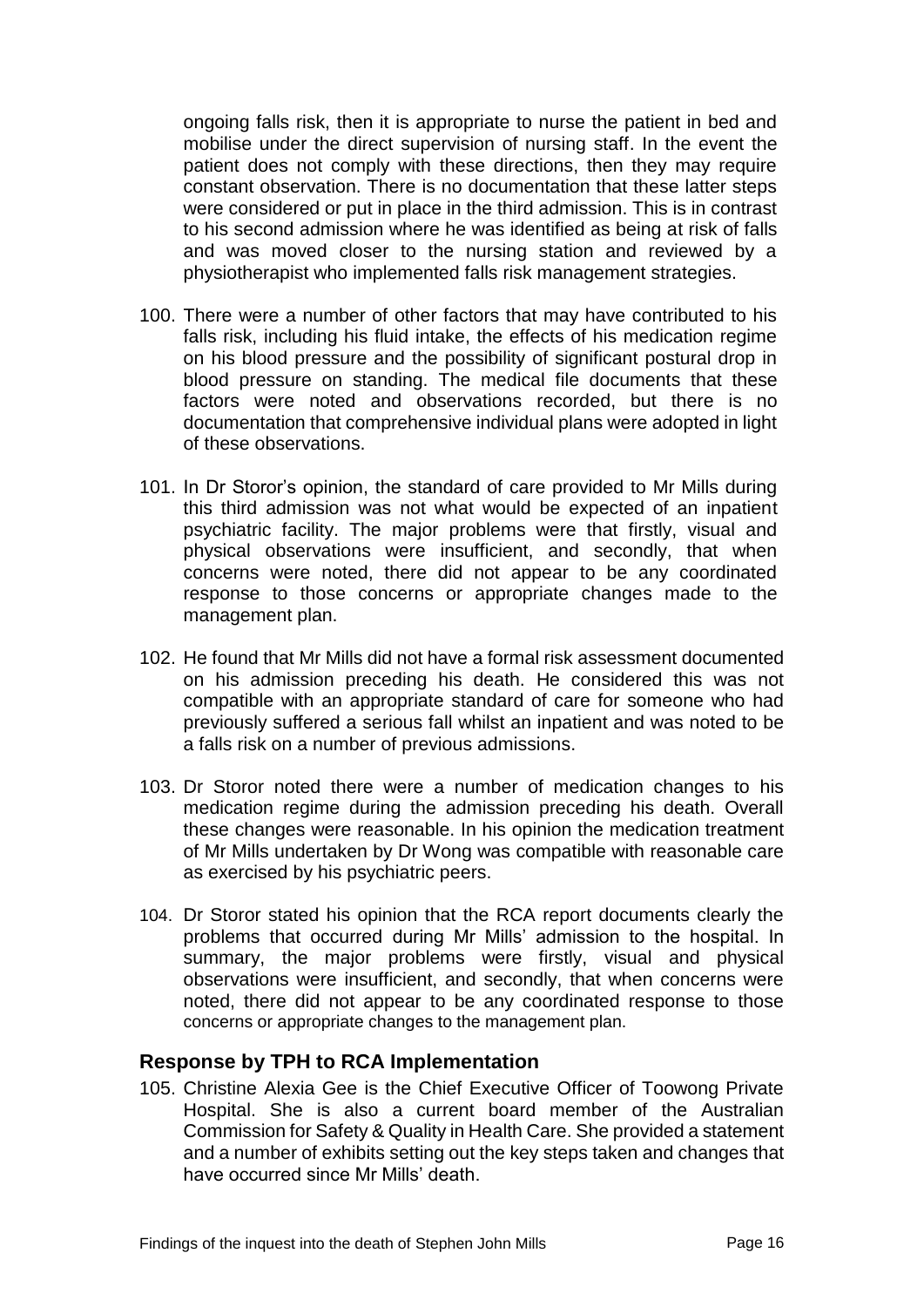ongoing falls risk, then it is appropriate to nurse the patient in bed and mobilise under the direct supervision of nursing staff. In the event the patient does not comply with these directions, then they may require constant observation. There is no documentation that these latter steps were considered or put in place in the third admission. This is in contrast to his second admission where he was identified as being at risk of falls and was moved closer to the nursing station and reviewed by a physiotherapist who implemented falls risk management strategies.

- 100. There were a number of other factors that may have contributed to his falls risk, including his fluid intake, the effects of his medication regime on his blood pressure and the possibility of significant postural drop in blood pressure on standing. The medical file documents that these factors were noted and observations recorded, but there is no documentation that comprehensive individual plans were adopted in light of these observations.
- 101. In Dr Storor's opinion, the standard of care provided to Mr Mills during this third admission was not what would be expected of an inpatient psychiatric facility. The major problems were that firstly, visual and physical observations were insufficient, and secondly, that when concerns were noted, there did not appear to be any coordinated response to those concerns or appropriate changes made to the management plan.
- 102. He found that Mr Mills did not have a formal risk assessment documented on his admission preceding his death. He considered this was not compatible with an appropriate standard of care for someone who had previously suffered a serious fall whilst an inpatient and was noted to be a falls risk on a number of previous admissions.
- 103. Dr Storor noted there were a number of medication changes to his medication regime during the admission preceding his death. Overall these changes were reasonable. In his opinion the medication treatment of Mr Mills undertaken by Dr Wong was compatible with reasonable care as exercised by his psychiatric peers.
- 104. Dr Storor stated his opinion that the RCA report documents clearly the problems that occurred during Mr Mills' admission to the hospital. In summary, the major problems were firstly, visual and physical observations were insufficient, and secondly, that when concerns were noted, there did not appear to be any coordinated response to those concerns or appropriate changes to the management plan.

## **Response by TPH to RCA Implementation**

105. Christine Alexia Gee is the Chief Executive Officer of Toowong Private Hospital. She is also a current board member of the Australian Commission for Safety & Quality in Health Care. She provided a statement and a number of exhibits setting out the key steps taken and changes that have occurred since Mr Mills' death.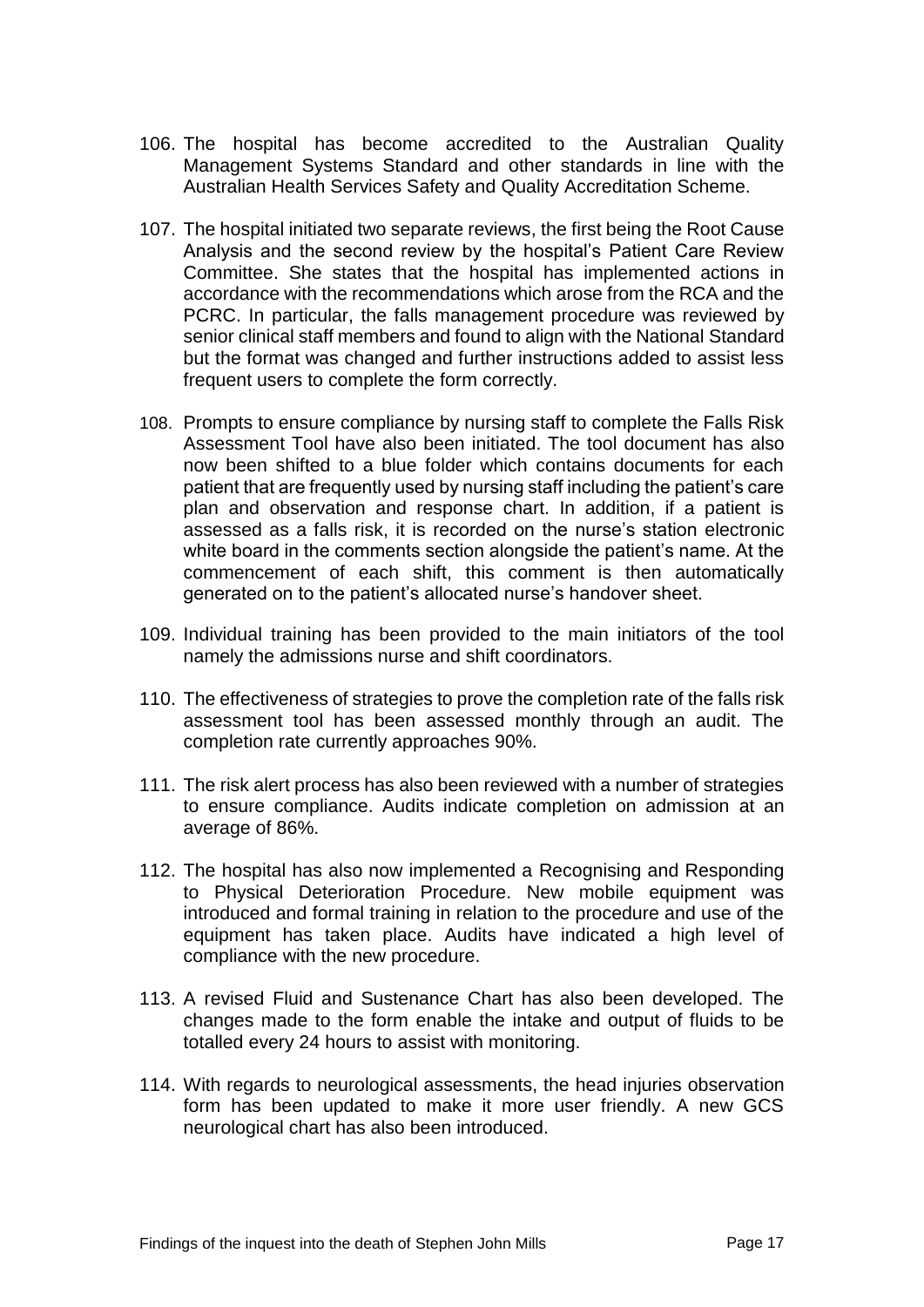- 106. The hospital has become accredited to the Australian Quality Management Systems Standard and other standards in line with the Australian Health Services Safety and Quality Accreditation Scheme.
- 107. The hospital initiated two separate reviews, the first being the Root Cause Analysis and the second review by the hospital's Patient Care Review Committee. She states that the hospital has implemented actions in accordance with the recommendations which arose from the RCA and the PCRC. In particular, the falls management procedure was reviewed by senior clinical staff members and found to align with the National Standard but the format was changed and further instructions added to assist less frequent users to complete the form correctly.
- 108. Prompts to ensure compliance by nursing staff to complete the Falls Risk Assessment Tool have also been initiated. The tool document has also now been shifted to a blue folder which contains documents for each patient that are frequently used by nursing staff including the patient's care plan and observation and response chart. In addition, if a patient is assessed as a falls risk, it is recorded on the nurse's station electronic white board in the comments section alongside the patient's name. At the commencement of each shift, this comment is then automatically generated on to the patient's allocated nurse's handover sheet.
- 109. Individual training has been provided to the main initiators of the tool namely the admissions nurse and shift coordinators.
- 110. The effectiveness of strategies to prove the completion rate of the falls risk assessment tool has been assessed monthly through an audit. The completion rate currently approaches 90%.
- 111. The risk alert process has also been reviewed with a number of strategies to ensure compliance. Audits indicate completion on admission at an average of 86%.
- 112. The hospital has also now implemented a Recognising and Responding to Physical Deterioration Procedure. New mobile equipment was introduced and formal training in relation to the procedure and use of the equipment has taken place. Audits have indicated a high level of compliance with the new procedure.
- 113. A revised Fluid and Sustenance Chart has also been developed. The changes made to the form enable the intake and output of fluids to be totalled every 24 hours to assist with monitoring.
- 114. With regards to neurological assessments, the head injuries observation form has been updated to make it more user friendly. A new GCS neurological chart has also been introduced.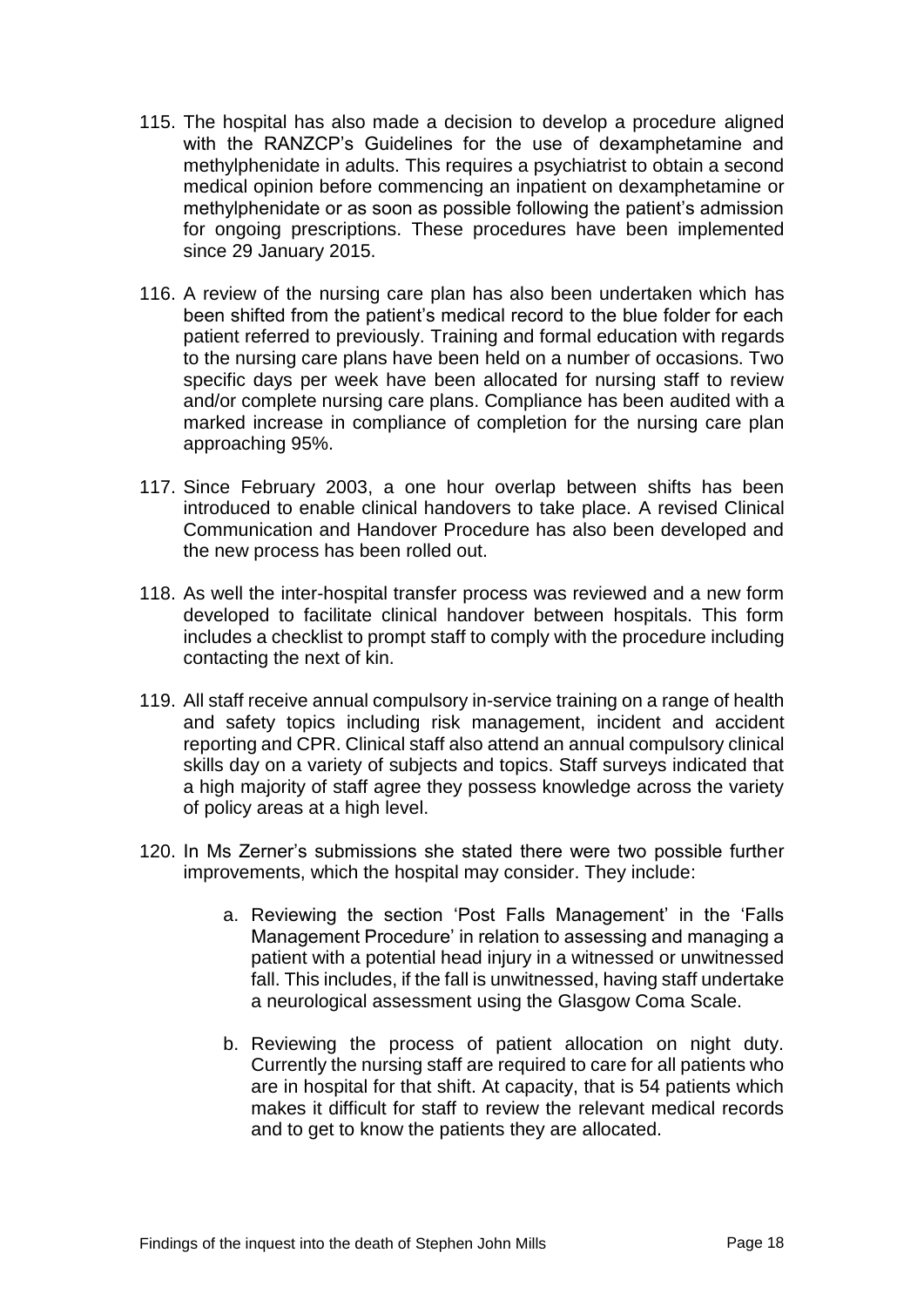- 115. The hospital has also made a decision to develop a procedure aligned with the RANZCP's Guidelines for the use of dexamphetamine and methylphenidate in adults. This requires a psychiatrist to obtain a second medical opinion before commencing an inpatient on dexamphetamine or methylphenidate or as soon as possible following the patient's admission for ongoing prescriptions. These procedures have been implemented since 29 January 2015.
- 116. A review of the nursing care plan has also been undertaken which has been shifted from the patient's medical record to the blue folder for each patient referred to previously. Training and formal education with regards to the nursing care plans have been held on a number of occasions. Two specific days per week have been allocated for nursing staff to review and/or complete nursing care plans. Compliance has been audited with a marked increase in compliance of completion for the nursing care plan approaching 95%.
- 117. Since February 2003, a one hour overlap between shifts has been introduced to enable clinical handovers to take place. A revised Clinical Communication and Handover Procedure has also been developed and the new process has been rolled out.
- 118. As well the inter-hospital transfer process was reviewed and a new form developed to facilitate clinical handover between hospitals. This form includes a checklist to prompt staff to comply with the procedure including contacting the next of kin.
- 119. All staff receive annual compulsory in-service training on a range of health and safety topics including risk management, incident and accident reporting and CPR. Clinical staff also attend an annual compulsory clinical skills day on a variety of subjects and topics. Staff surveys indicated that a high majority of staff agree they possess knowledge across the variety of policy areas at a high level.
- 120. In Ms Zerner's submissions she stated there were two possible further improvements, which the hospital may consider. They include:
	- a. Reviewing the section 'Post Falls Management' in the 'Falls Management Procedure' in relation to assessing and managing a patient with a potential head injury in a witnessed or unwitnessed fall. This includes, if the fall is unwitnessed, having staff undertake a neurological assessment using the Glasgow Coma Scale.
	- b. Reviewing the process of patient allocation on night duty. Currently the nursing staff are required to care for all patients who are in hospital for that shift. At capacity, that is 54 patients which makes it difficult for staff to review the relevant medical records and to get to know the patients they are allocated.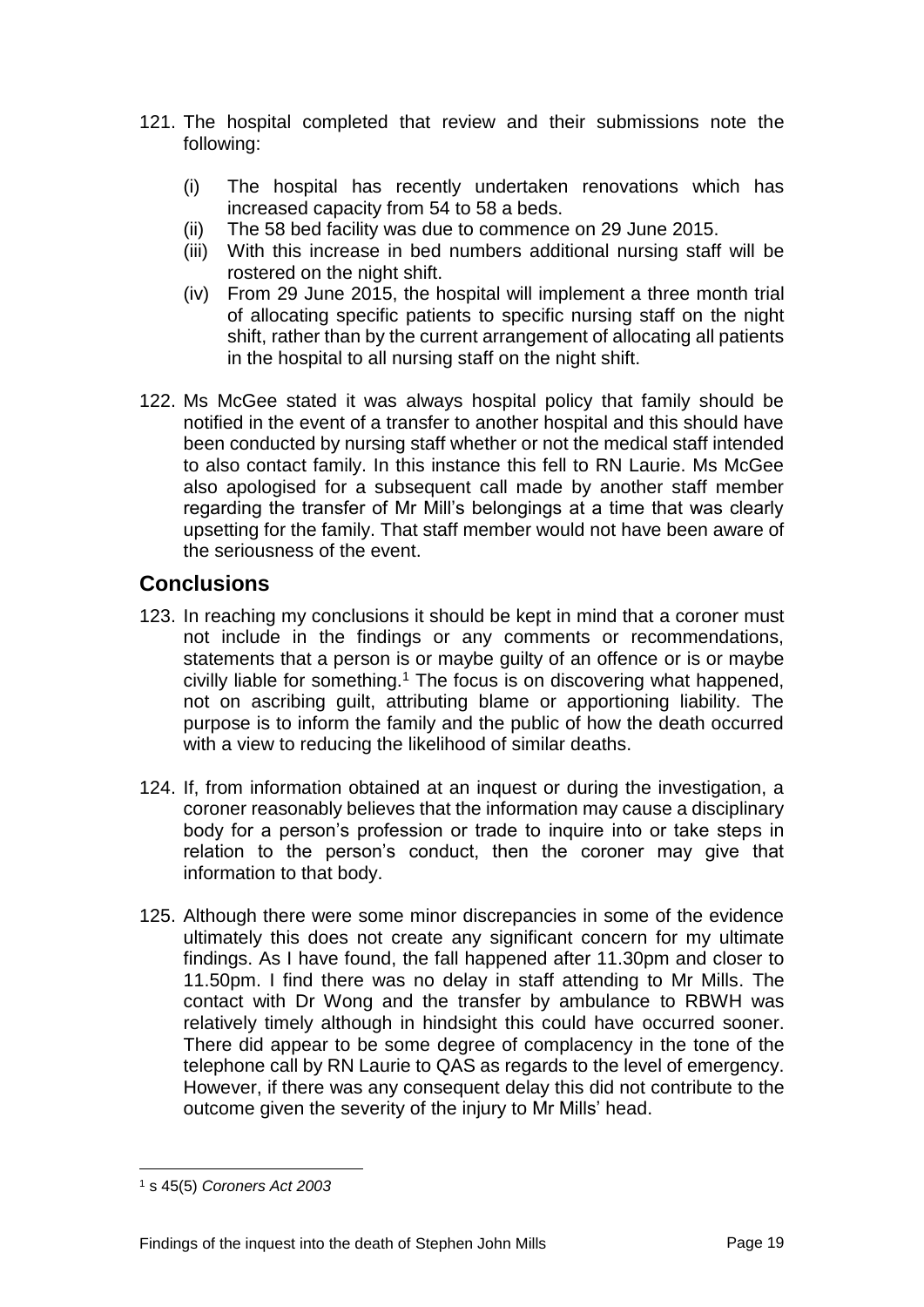- 121. The hospital completed that review and their submissions note the following:
	- (i) The hospital has recently undertaken renovations which has increased capacity from 54 to 58 a beds.
	- (ii) The 58 bed facility was due to commence on 29 June 2015.
	- (iii) With this increase in bed numbers additional nursing staff will be rostered on the night shift.
	- (iv) From 29 June 2015, the hospital will implement a three month trial of allocating specific patients to specific nursing staff on the night shift, rather than by the current arrangement of allocating all patients in the hospital to all nursing staff on the night shift.
- 122. Ms McGee stated it was always hospital policy that family should be notified in the event of a transfer to another hospital and this should have been conducted by nursing staff whether or not the medical staff intended to also contact family. In this instance this fell to RN Laurie. Ms McGee also apologised for a subsequent call made by another staff member regarding the transfer of Mr Mill's belongings at a time that was clearly upsetting for the family. That staff member would not have been aware of the seriousness of the event.

# **Conclusions**

- 123. In reaching my conclusions it should be kept in mind that a coroner must not include in the findings or any comments or recommendations, statements that a person is or maybe guilty of an offence or is or maybe civilly liable for something.<sup>1</sup> The focus is on discovering what happened. not on ascribing guilt, attributing blame or apportioning liability. The purpose is to inform the family and the public of how the death occurred with a view to reducing the likelihood of similar deaths.
- 124. If, from information obtained at an inquest or during the investigation, a coroner reasonably believes that the information may cause a disciplinary body for a person's profession or trade to inquire into or take steps in relation to the person's conduct, then the coroner may give that information to that body.
- 125. Although there were some minor discrepancies in some of the evidence ultimately this does not create any significant concern for my ultimate findings. As I have found, the fall happened after 11.30pm and closer to 11.50pm. I find there was no delay in staff attending to Mr Mills. The contact with Dr Wong and the transfer by ambulance to RBWH was relatively timely although in hindsight this could have occurred sooner. There did appear to be some degree of complacency in the tone of the telephone call by RN Laurie to QAS as regards to the level of emergency. However, if there was any consequent delay this did not contribute to the outcome given the severity of the injury to Mr Mills' head.

l

<sup>1</sup> s 45(5) *Coroners Act 2003*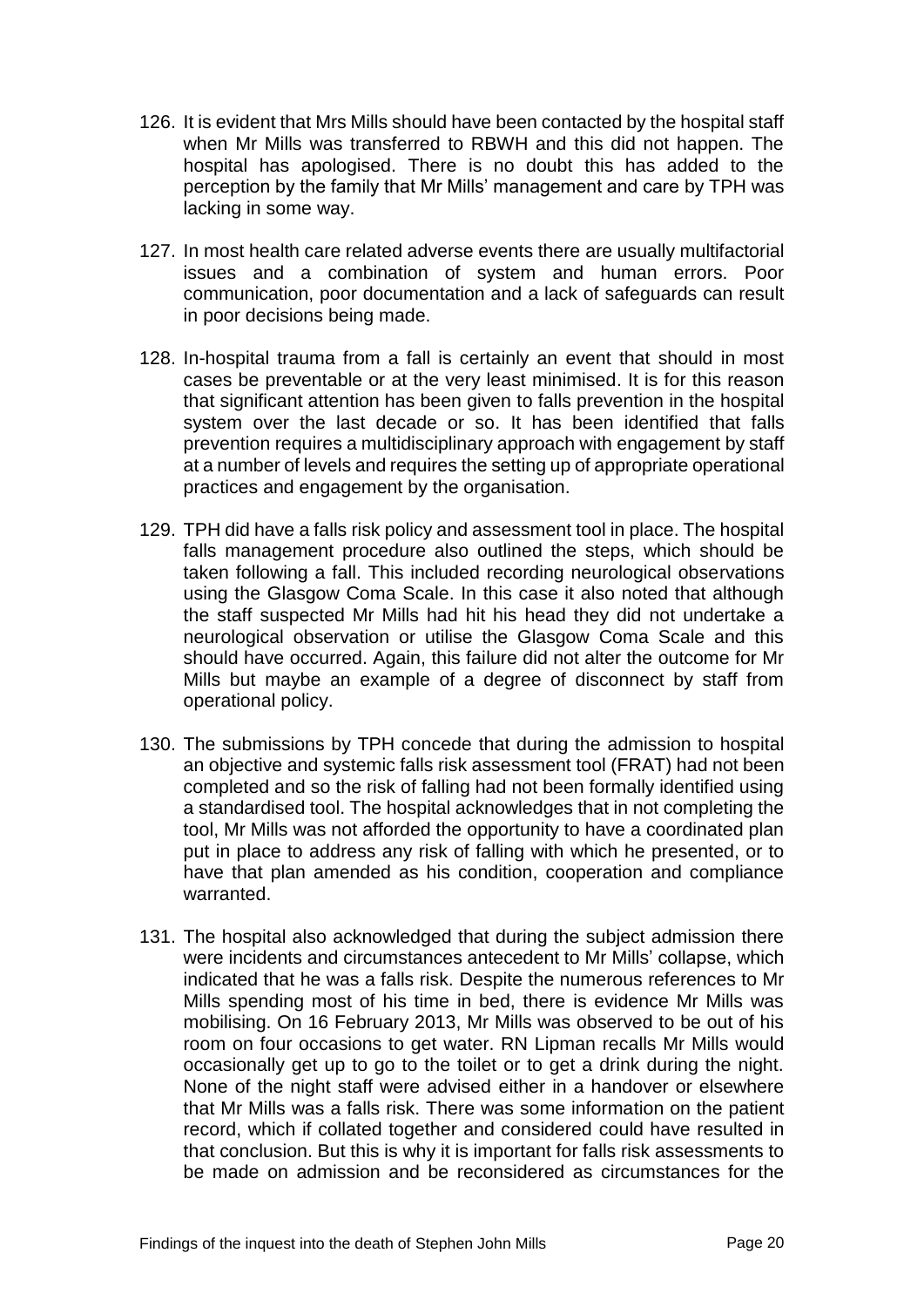- 126. It is evident that Mrs Mills should have been contacted by the hospital staff when Mr Mills was transferred to RBWH and this did not happen. The hospital has apologised. There is no doubt this has added to the perception by the family that Mr Mills' management and care by TPH was lacking in some way.
- 127. In most health care related adverse events there are usually multifactorial issues and a combination of system and human errors. Poor communication, poor documentation and a lack of safeguards can result in poor decisions being made.
- 128. In-hospital trauma from a fall is certainly an event that should in most cases be preventable or at the very least minimised. It is for this reason that significant attention has been given to falls prevention in the hospital system over the last decade or so. It has been identified that falls prevention requires a multidisciplinary approach with engagement by staff at a number of levels and requires the setting up of appropriate operational practices and engagement by the organisation.
- 129. TPH did have a falls risk policy and assessment tool in place. The hospital falls management procedure also outlined the steps, which should be taken following a fall. This included recording neurological observations using the Glasgow Coma Scale. In this case it also noted that although the staff suspected Mr Mills had hit his head they did not undertake a neurological observation or utilise the Glasgow Coma Scale and this should have occurred. Again, this failure did not alter the outcome for Mr Mills but maybe an example of a degree of disconnect by staff from operational policy.
- 130. The submissions by TPH concede that during the admission to hospital an objective and systemic falls risk assessment tool (FRAT) had not been completed and so the risk of falling had not been formally identified using a standardised tool. The hospital acknowledges that in not completing the tool, Mr Mills was not afforded the opportunity to have a coordinated plan put in place to address any risk of falling with which he presented, or to have that plan amended as his condition, cooperation and compliance warranted.
- 131. The hospital also acknowledged that during the subject admission there were incidents and circumstances antecedent to Mr Mills' collapse, which indicated that he was a falls risk. Despite the numerous references to Mr Mills spending most of his time in bed, there is evidence Mr Mills was mobilising. On 16 February 2013, Mr Mills was observed to be out of his room on four occasions to get water. RN Lipman recalls Mr Mills would occasionally get up to go to the toilet or to get a drink during the night. None of the night staff were advised either in a handover or elsewhere that Mr Mills was a falls risk. There was some information on the patient record, which if collated together and considered could have resulted in that conclusion. But this is why it is important for falls risk assessments to be made on admission and be reconsidered as circumstances for the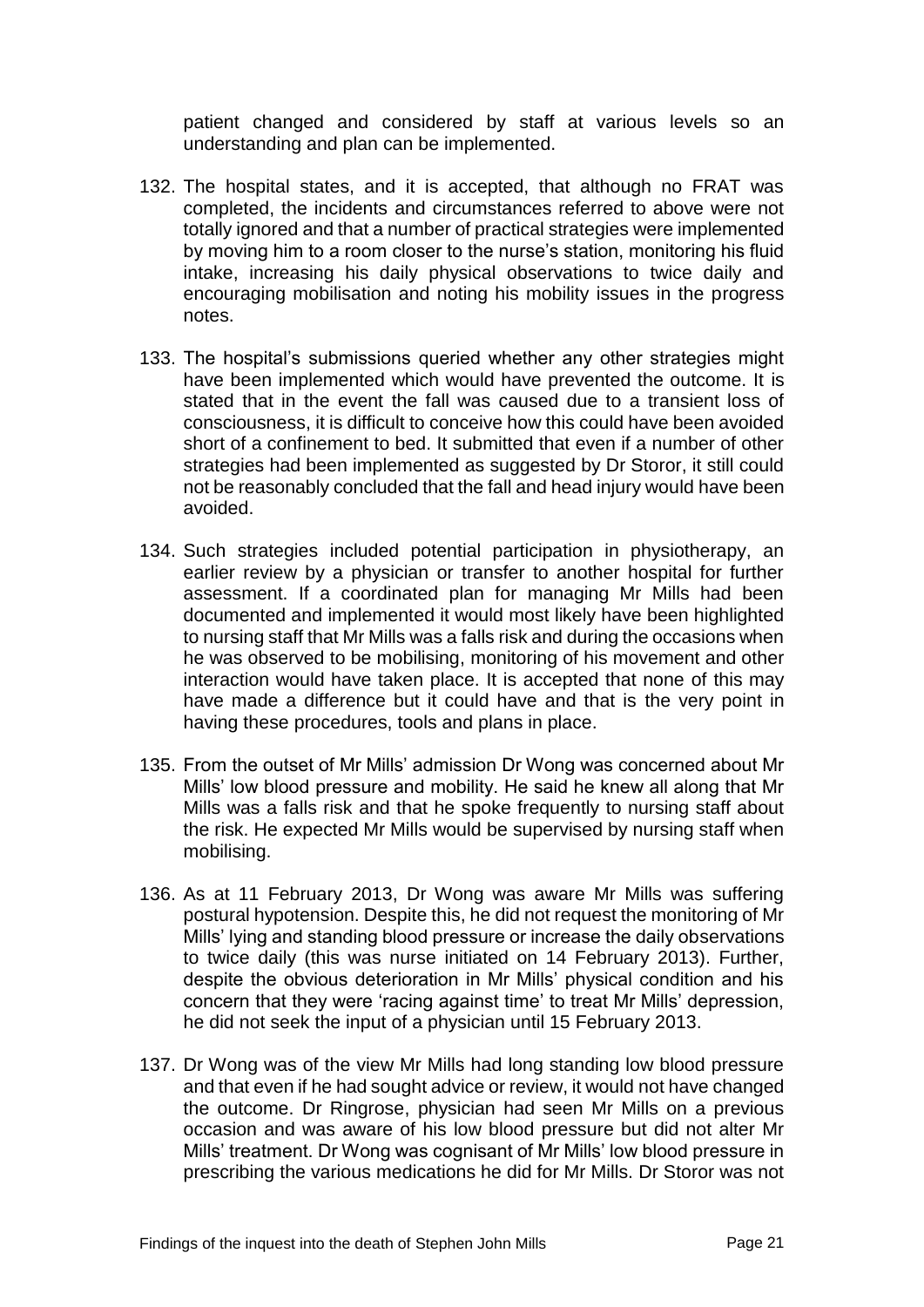patient changed and considered by staff at various levels so an understanding and plan can be implemented.

- 132. The hospital states, and it is accepted, that although no FRAT was completed, the incidents and circumstances referred to above were not totally ignored and that a number of practical strategies were implemented by moving him to a room closer to the nurse's station, monitoring his fluid intake, increasing his daily physical observations to twice daily and encouraging mobilisation and noting his mobility issues in the progress notes.
- 133. The hospital's submissions queried whether any other strategies might have been implemented which would have prevented the outcome. It is stated that in the event the fall was caused due to a transient loss of consciousness, it is difficult to conceive how this could have been avoided short of a confinement to bed. It submitted that even if a number of other strategies had been implemented as suggested by Dr Storor, it still could not be reasonably concluded that the fall and head injury would have been avoided.
- 134. Such strategies included potential participation in physiotherapy, an earlier review by a physician or transfer to another hospital for further assessment. If a coordinated plan for managing Mr Mills had been documented and implemented it would most likely have been highlighted to nursing staff that Mr Mills was a falls risk and during the occasions when he was observed to be mobilising, monitoring of his movement and other interaction would have taken place. It is accepted that none of this may have made a difference but it could have and that is the very point in having these procedures, tools and plans in place.
- 135. From the outset of Mr Mills' admission Dr Wong was concerned about Mr Mills' low blood pressure and mobility. He said he knew all along that Mr Mills was a falls risk and that he spoke frequently to nursing staff about the risk. He expected Mr Mills would be supervised by nursing staff when mobilising.
- 136. As at 11 February 2013, Dr Wong was aware Mr Mills was suffering postural hypotension. Despite this, he did not request the monitoring of Mr Mills' lying and standing blood pressure or increase the daily observations to twice daily (this was nurse initiated on 14 February 2013). Further, despite the obvious deterioration in Mr Mills' physical condition and his concern that they were 'racing against time' to treat Mr Mills' depression, he did not seek the input of a physician until 15 February 2013.
- 137. Dr Wong was of the view Mr Mills had long standing low blood pressure and that even if he had sought advice or review, it would not have changed the outcome. Dr Ringrose, physician had seen Mr Mills on a previous occasion and was aware of his low blood pressure but did not alter Mr Mills' treatment. Dr Wong was cognisant of Mr Mills' low blood pressure in prescribing the various medications he did for Mr Mills. Dr Storor was not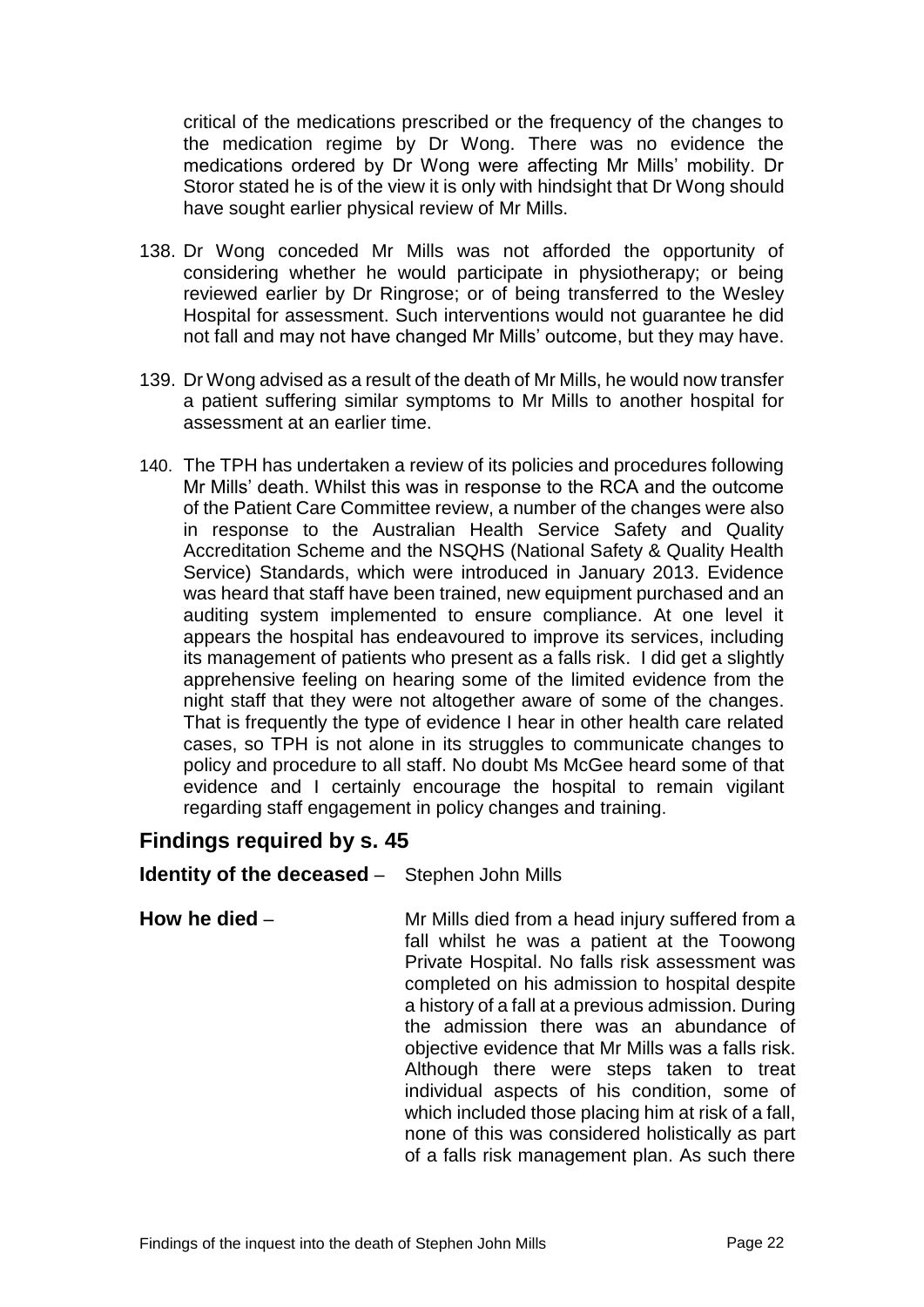critical of the medications prescribed or the frequency of the changes to the medication regime by Dr Wong. There was no evidence the medications ordered by Dr Wong were affecting Mr Mills' mobility. Dr Storor stated he is of the view it is only with hindsight that Dr Wong should have sought earlier physical review of Mr Mills.

- 138. Dr Wong conceded Mr Mills was not afforded the opportunity of considering whether he would participate in physiotherapy; or being reviewed earlier by Dr Ringrose; or of being transferred to the Wesley Hospital for assessment. Such interventions would not guarantee he did not fall and may not have changed Mr Mills' outcome, but they may have.
- 139. Dr Wong advised as a result of the death of Mr Mills, he would now transfer a patient suffering similar symptoms to Mr Mills to another hospital for assessment at an earlier time.
- 140. The TPH has undertaken a review of its policies and procedures following Mr Mills' death. Whilst this was in response to the RCA and the outcome of the Patient Care Committee review, a number of the changes were also in response to the Australian Health Service Safety and Quality Accreditation Scheme and the NSQHS (National Safety & Quality Health Service) Standards, which were introduced in January 2013. Evidence was heard that staff have been trained, new equipment purchased and an auditing system implemented to ensure compliance. At one level it appears the hospital has endeavoured to improve its services, including its management of patients who present as a falls risk. I did get a slightly apprehensive feeling on hearing some of the limited evidence from the night staff that they were not altogether aware of some of the changes. That is frequently the type of evidence I hear in other health care related cases, so TPH is not alone in its struggles to communicate changes to policy and procedure to all staff. No doubt Ms McGee heard some of that evidence and I certainly encourage the hospital to remain vigilant regarding staff engagement in policy changes and training.

# **Findings required by s. 45**

## **Identity of the deceased** – Stephen John Mills

**How he died** – Mr Mills died from a head injury suffered from a fall whilst he was a patient at the Toowong Private Hospital. No falls risk assessment was completed on his admission to hospital despite a history of a fall at a previous admission. During the admission there was an abundance of objective evidence that Mr Mills was a falls risk. Although there were steps taken to treat individual aspects of his condition, some of which included those placing him at risk of a fall. none of this was considered holistically as part of a falls risk management plan. As such there